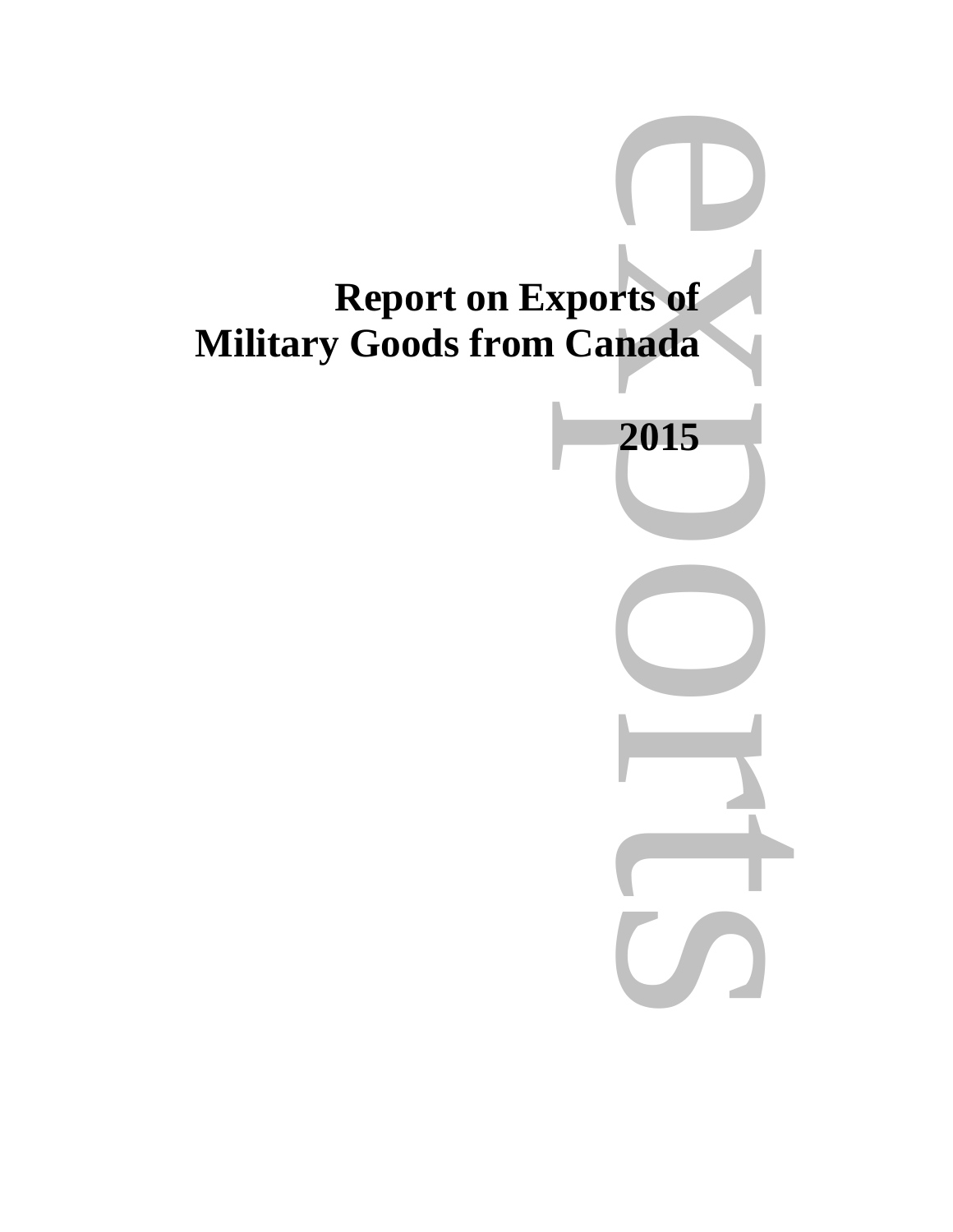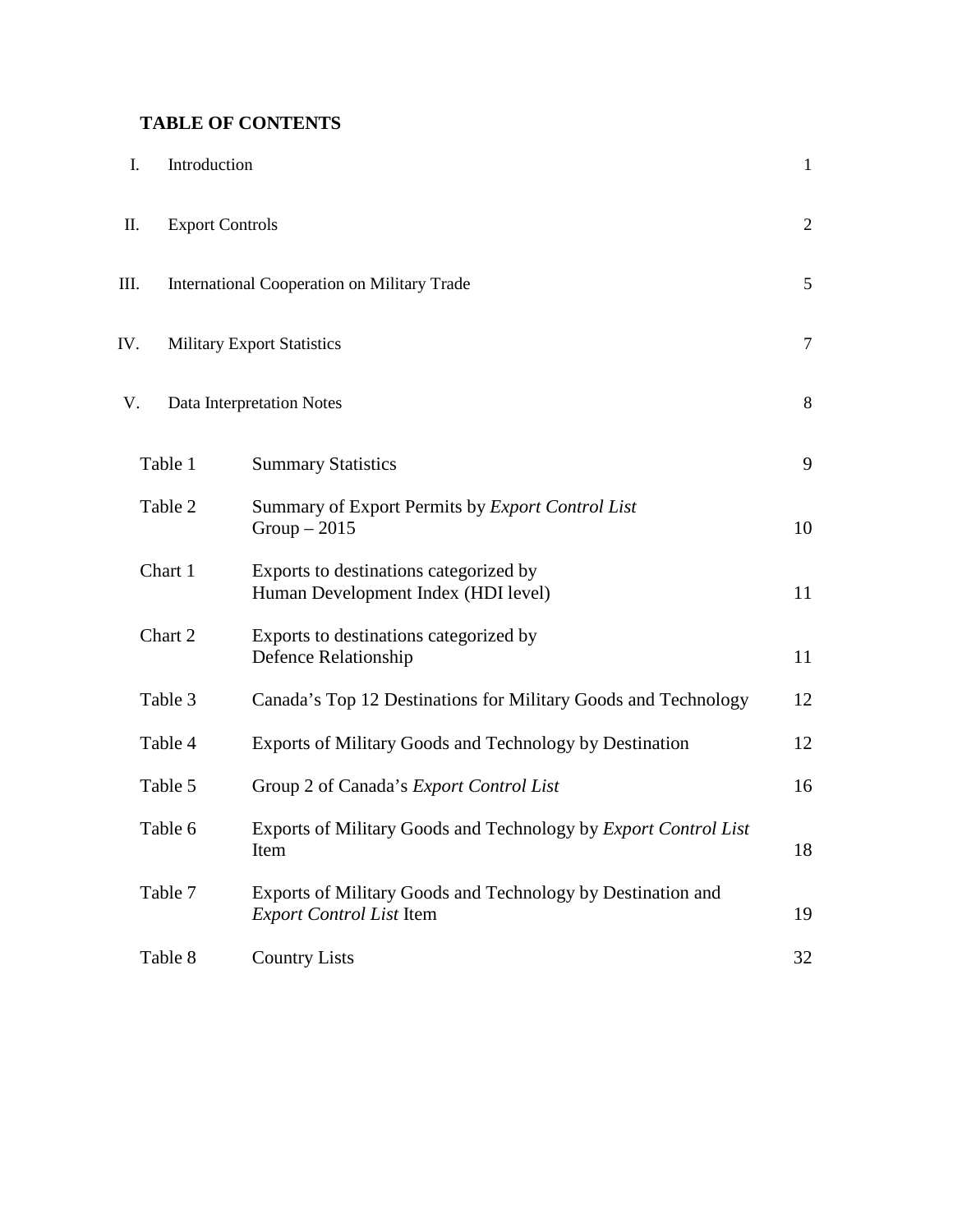## **TABLE OF CONTENTS**

| I.      | Introduction                                                                                   | $\mathbf{1}$ |
|---------|------------------------------------------------------------------------------------------------|--------------|
| П.      | <b>Export Controls</b>                                                                         | $\mathbf{2}$ |
| Ш.      | International Cooperation on Military Trade                                                    | 5            |
| IV.     | <b>Military Export Statistics</b>                                                              | $\tau$       |
| V.      | Data Interpretation Notes                                                                      | 8            |
| Table 1 | <b>Summary Statistics</b>                                                                      | 9            |
| Table 2 | Summary of Export Permits by Export Control List<br>$Group-2015$                               | 10           |
| Chart 1 | Exports to destinations categorized by<br>Human Development Index (HDI level)                  | 11           |
| Chart 2 | Exports to destinations categorized by<br>Defence Relationship                                 | 11           |
| Table 3 | Canada's Top 12 Destinations for Military Goods and Technology                                 | 12           |
| Table 4 | Exports of Military Goods and Technology by Destination                                        | 12           |
| Table 5 | Group 2 of Canada's Export Control List                                                        | 16           |
| Table 6 | Exports of Military Goods and Technology by Export Control List<br>Item                        | 18           |
| Table 7 | Exports of Military Goods and Technology by Destination and<br><b>Export Control List Item</b> | 19           |
| Table 8 | <b>Country Lists</b>                                                                           | 32           |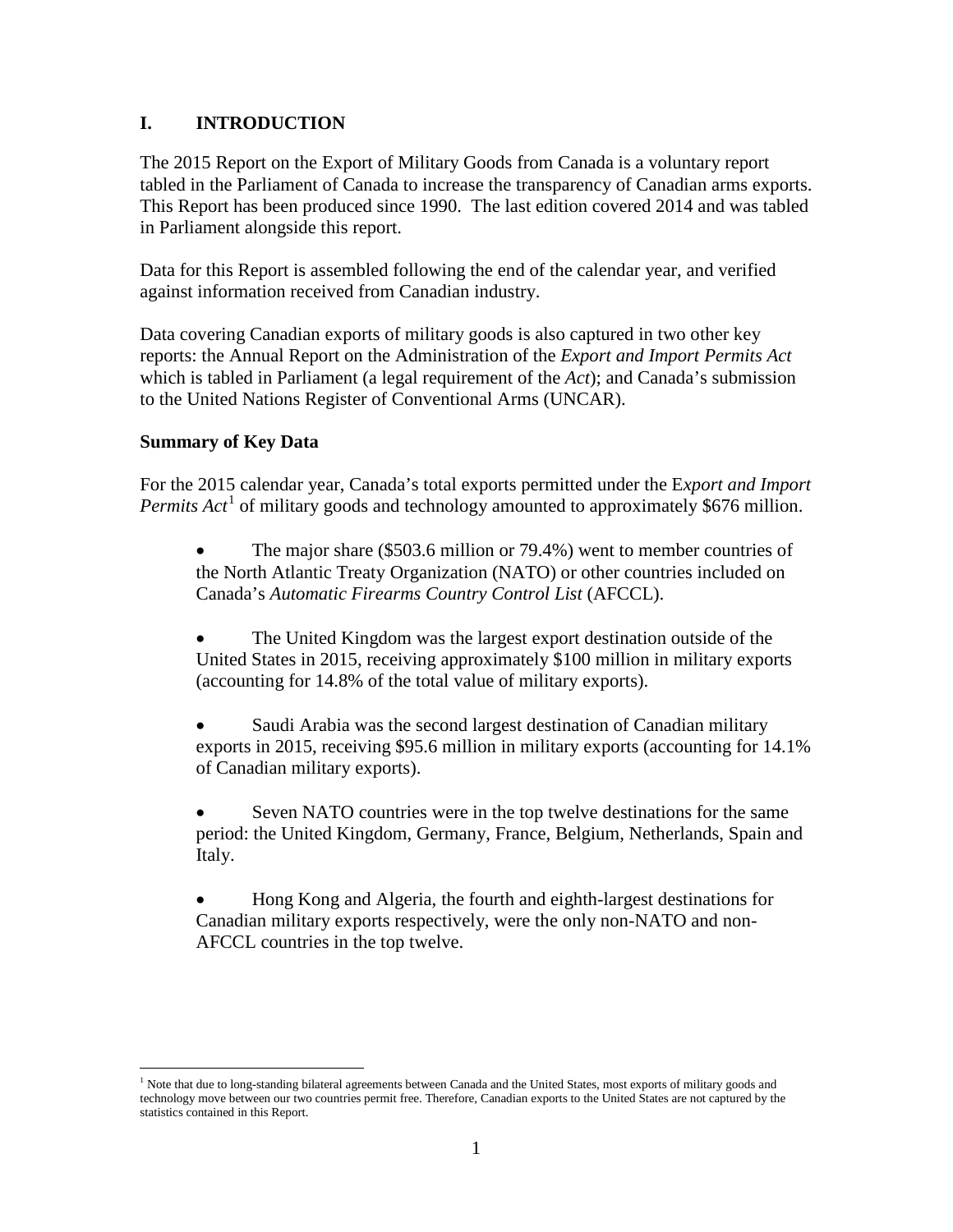## **I. INTRODUCTION**

The 2015 Report on the Export of Military Goods from Canada is a voluntary report tabled in the Parliament of Canada to increase the transparency of Canadian arms exports. This Report has been produced since 1990. The last edition covered 2014 and was tabled in Parliament alongside this report.

Data for this Report is assembled following the end of the calendar year, and verified against information received from Canadian industry.

Data covering Canadian exports of military goods is also captured in two other key reports: the Annual Report on the Administration of the *Export and Import Permits Act* which is tabled in Parliament (a legal requirement of the *Act*); and Canada's submission to the United Nations Register of Conventional Arms (UNCAR).

### **Summary of Key Data**

For the 2015 calendar year, Canada's total exports permitted under the E*xport and Import Permits Act*<sup>[1](#page-3-0)</sup> of military goods and technology amounted to approximately \$676 million.

The major share (\$503.6 million or 79.4%) went to member countries of the North Atlantic Treaty Organization (NATO) or other countries included on Canada's *Automatic Firearms Country Control List* (AFCCL).

• The United Kingdom was the largest export destination outside of the United States in 2015, receiving approximately \$100 million in military exports (accounting for 14.8% of the total value of military exports).

• Saudi Arabia was the second largest destination of Canadian military exports in 2015, receiving \$95.6 million in military exports (accounting for 14.1% of Canadian military exports).

Seven NATO countries were in the top twelve destinations for the same period: the United Kingdom, Germany, France, Belgium, Netherlands, Spain and Italy.

• Hong Kong and Algeria, the fourth and eighth-largest destinations for Canadian military exports respectively, were the only non-NATO and non-AFCCL countries in the top twelve.

<span id="page-3-0"></span> $<sup>1</sup>$  Note that due to long-standing bilateral agreements between Canada and the United States, most exports of military goods and</sup> technology move between our two countries permit free. Therefore, Canadian exports to the United States are not captured by the statistics contained in this Report.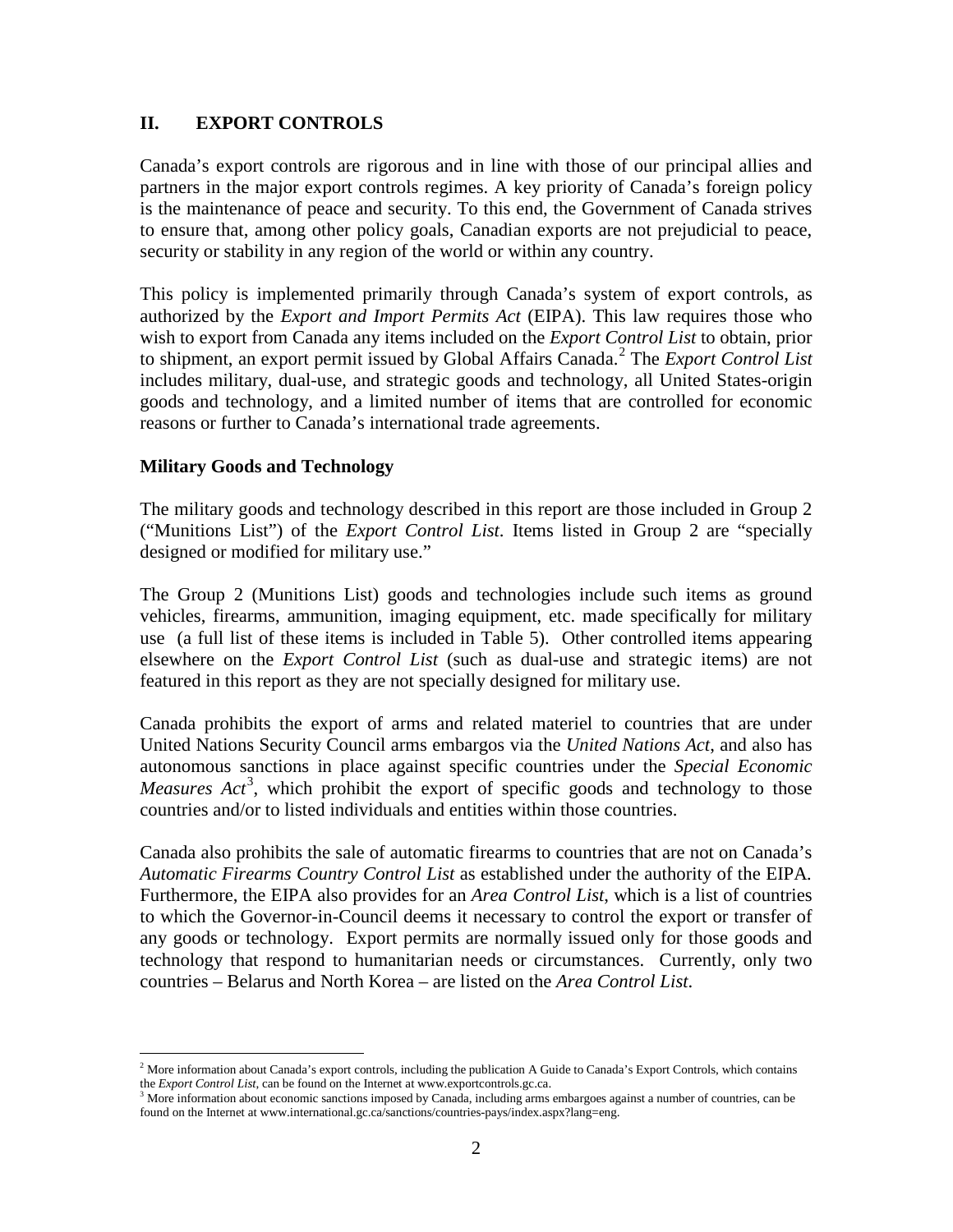### **II. EXPORT CONTROLS**

Canada's export controls are rigorous and in line with those of our principal allies and partners in the major export controls regimes. A key priority of Canada's foreign policy is the maintenance of peace and security. To this end, the Government of Canada strives to ensure that, among other policy goals, Canadian exports are not prejudicial to peace, security or stability in any region of the world or within any country.

This policy is implemented primarily through Canada's system of export controls, as authorized by the *Export and Import Permits Act* (EIPA). This law requires those who wish to export from Canada any items included on the *Export Control List* to obtain, prior to shipment, an export permit issued by Global Affairs Canada. [2](#page-4-0) The *Export Control List* includes military, dual-use, and strategic goods and technology, all United States-origin goods and technology, and a limited number of items that are controlled for economic reasons or further to Canada's international trade agreements.

#### **Military Goods and Technology**

The military goods and technology described in this report are those included in Group 2 ("Munitions List") of the *Export Control List*. Items listed in Group 2 are "specially designed or modified for military use."

The Group 2 (Munitions List) goods and technologies include such items as ground vehicles, firearms, ammunition, imaging equipment, etc. made specifically for military use (a full list of these items is included in Table 5). Other controlled items appearing elsewhere on the *Export Control List* (such as dual-use and strategic items) are not featured in this report as they are not specially designed for military use.

Canada prohibits the export of arms and related materiel to countries that are under United Nations Security Council arms embargos via the *United Nations Act*, and also has autonomous sanctions in place against specific countries under the *Special Economic*  Measures Act<sup>[3](#page-4-1)</sup>, which prohibit the export of specific goods and technology to those countries and/or to listed individuals and entities within those countries.

Canada also prohibits the sale of automatic firearms to countries that are not on Canada's *Automatic Firearms Country Control List* as established under the authority of the EIPA*.*  Furthermore, the EIPA also provides for an *Area Control List*, which is a list of countries to which the Governor-in-Council deems it necessary to control the export or transfer of any goods or technology. Export permits are normally issued only for those goods and technology that respond to humanitarian needs or circumstances. Currently, only two countries – Belarus and North Korea – are listed on the *Area Control List*.

<span id="page-4-0"></span><sup>&</sup>lt;sup>2</sup> More information about Canada's export controls, including the publication A Guide to Canada's Export Controls, which contains the *Export Control List*, can be found on the Internet at www.exportcontrols.gc.ca.

<span id="page-4-1"></span><sup>&</sup>lt;sup>3</sup> More information about economic sanctions imposed by Canada, including arms embargoes against a number of countries, can be found on the Internet at www.international.gc.ca/sanctions/countries-pays/index.aspx?lang=eng.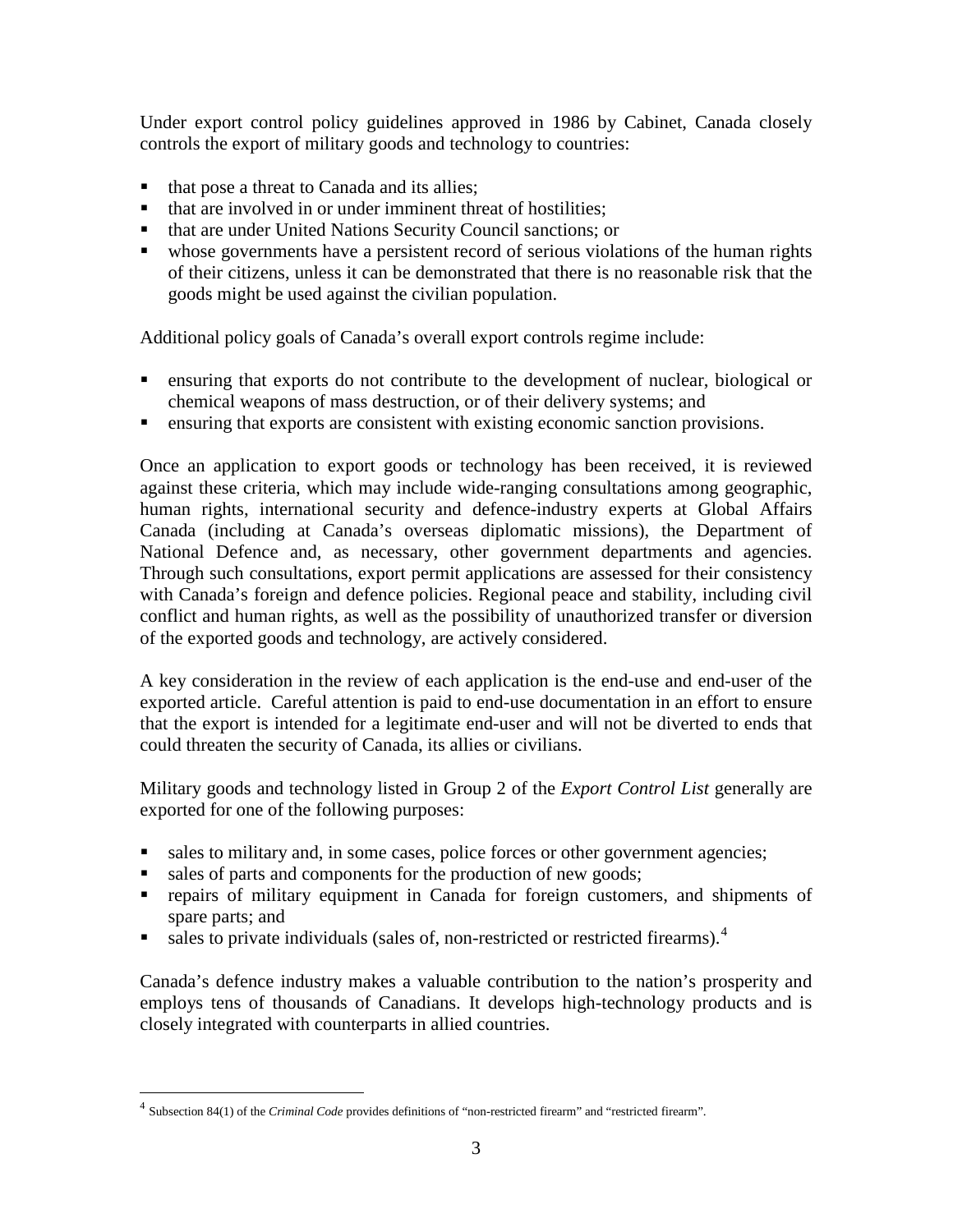Under export control policy guidelines approved in 1986 by Cabinet, Canada closely controls the export of military goods and technology to countries:

- that pose a threat to Canada and its allies;
- that are involved in or under imminent threat of hostilities:
- that are under United Nations Security Council sanctions; or
- whose governments have a persistent record of serious violations of the human rights of their citizens, unless it can be demonstrated that there is no reasonable risk that the goods might be used against the civilian population.

Additional policy goals of Canada's overall export controls regime include:

- ensuring that exports do not contribute to the development of nuclear, biological or chemical weapons of mass destruction, or of their delivery systems; and
- ensuring that exports are consistent with existing economic sanction provisions.

Once an application to export goods or technology has been received, it is reviewed against these criteria, which may include wide-ranging consultations among geographic, human rights, international security and defence-industry experts at Global Affairs Canada (including at Canada's overseas diplomatic missions), the Department of National Defence and, as necessary, other government departments and agencies. Through such consultations, export permit applications are assessed for their consistency with Canada's foreign and defence policies. Regional peace and stability, including civil conflict and human rights, as well as the possibility of unauthorized transfer or diversion of the exported goods and technology, are actively considered.

A key consideration in the review of each application is the end-use and end-user of the exported article. Careful attention is paid to end-use documentation in an effort to ensure that the export is intended for a legitimate end-user and will not be diverted to ends that could threaten the security of Canada, its allies or civilians.

Military goods and technology listed in Group 2 of the *Export Control List* generally are exported for one of the following purposes:

- sales to military and, in some cases, police forces or other government agencies;
- sales of parts and components for the production of new goods;
- repairs of military equipment in Canada for foreign customers, and shipments of spare parts; and
- sales to private individuals (sales of, non-restricted or restricted firearms).<sup>[4](#page-5-0)</sup>

Canada's defence industry makes a valuable contribution to the nation's prosperity and employs tens of thousands of Canadians. It develops high-technology products and is closely integrated with counterparts in allied countries.

<span id="page-5-0"></span> <sup>4</sup> Subsection 84(1) of the *Criminal Code* provides definitions of "non-restricted firearm" and "restricted firearm".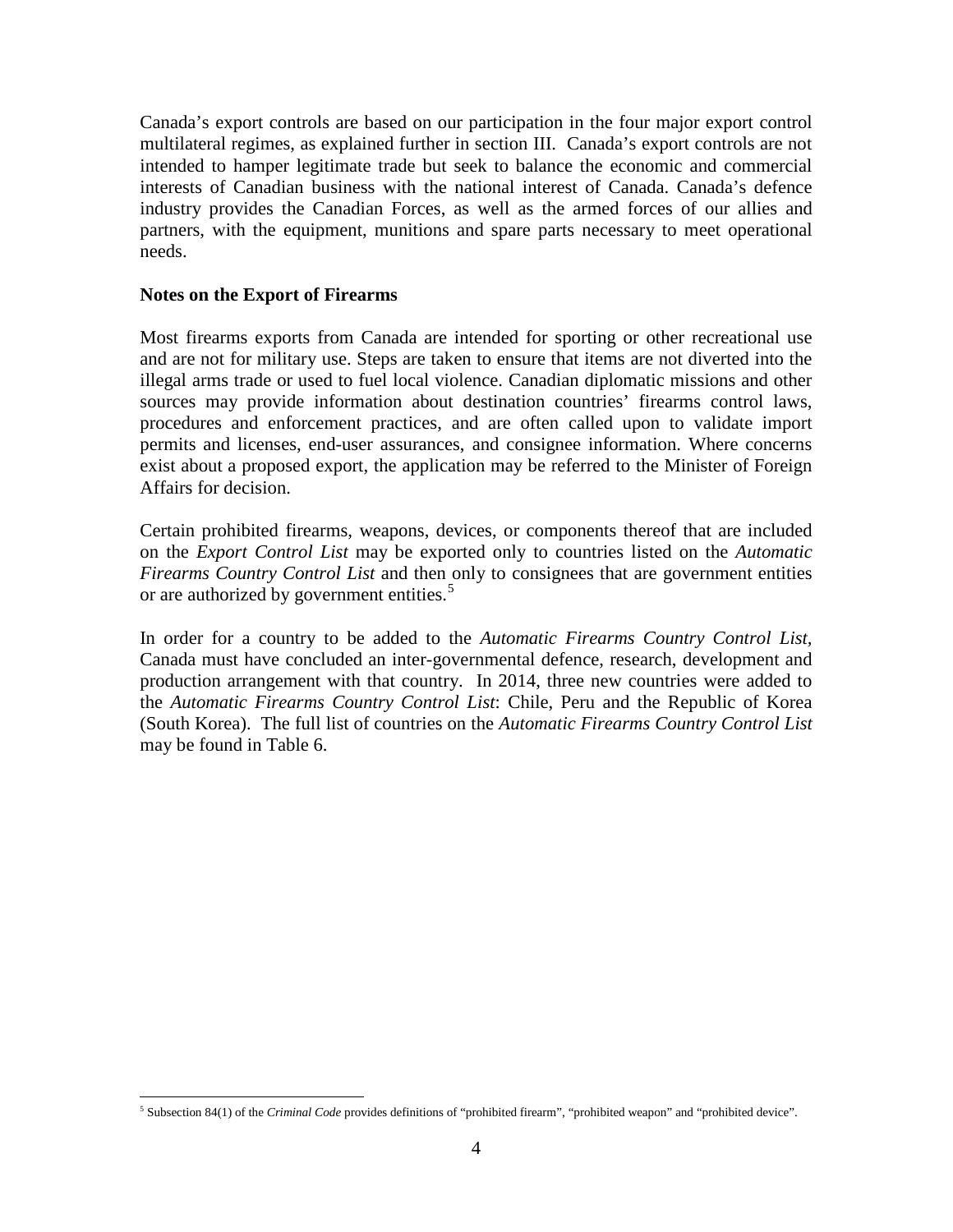Canada's export controls are based on our participation in the four major export control multilateral regimes, as explained further in section III. Canada's export controls are not intended to hamper legitimate trade but seek to balance the economic and commercial interests of Canadian business with the national interest of Canada. Canada's defence industry provides the Canadian Forces, as well as the armed forces of our allies and partners, with the equipment, munitions and spare parts necessary to meet operational needs.

#### **Notes on the Export of Firearms**

Most firearms exports from Canada are intended for sporting or other recreational use and are not for military use. Steps are taken to ensure that items are not diverted into the illegal arms trade or used to fuel local violence. Canadian diplomatic missions and other sources may provide information about destination countries' firearms control laws, procedures and enforcement practices, and are often called upon to validate import permits and licenses, end-user assurances, and consignee information. Where concerns exist about a proposed export, the application may be referred to the Minister of Foreign Affairs for decision.

Certain prohibited firearms, weapons, devices, or components thereof that are included on the *Export Control List* may be exported only to countries listed on the *Automatic Firearms Country Control List* and then only to consignees that are government entities or are authorized by government entities.<sup>[5](#page-6-0)</sup>

In order for a country to be added to the *Automatic Firearms Country Control List,*  Canada must have concluded an inter-governmental defence, research, development and production arrangement with that country. In 2014, three new countries were added to the *Automatic Firearms Country Control List*: Chile, Peru and the Republic of Korea (South Korea). The full list of countries on the *Automatic Firearms Country Control List* may be found in Table 6.

<span id="page-6-0"></span> <sup>5</sup> Subsection 84(1) of the *Criminal Code* provides definitions of "prohibited firearm", "prohibited weapon" and "prohibited device".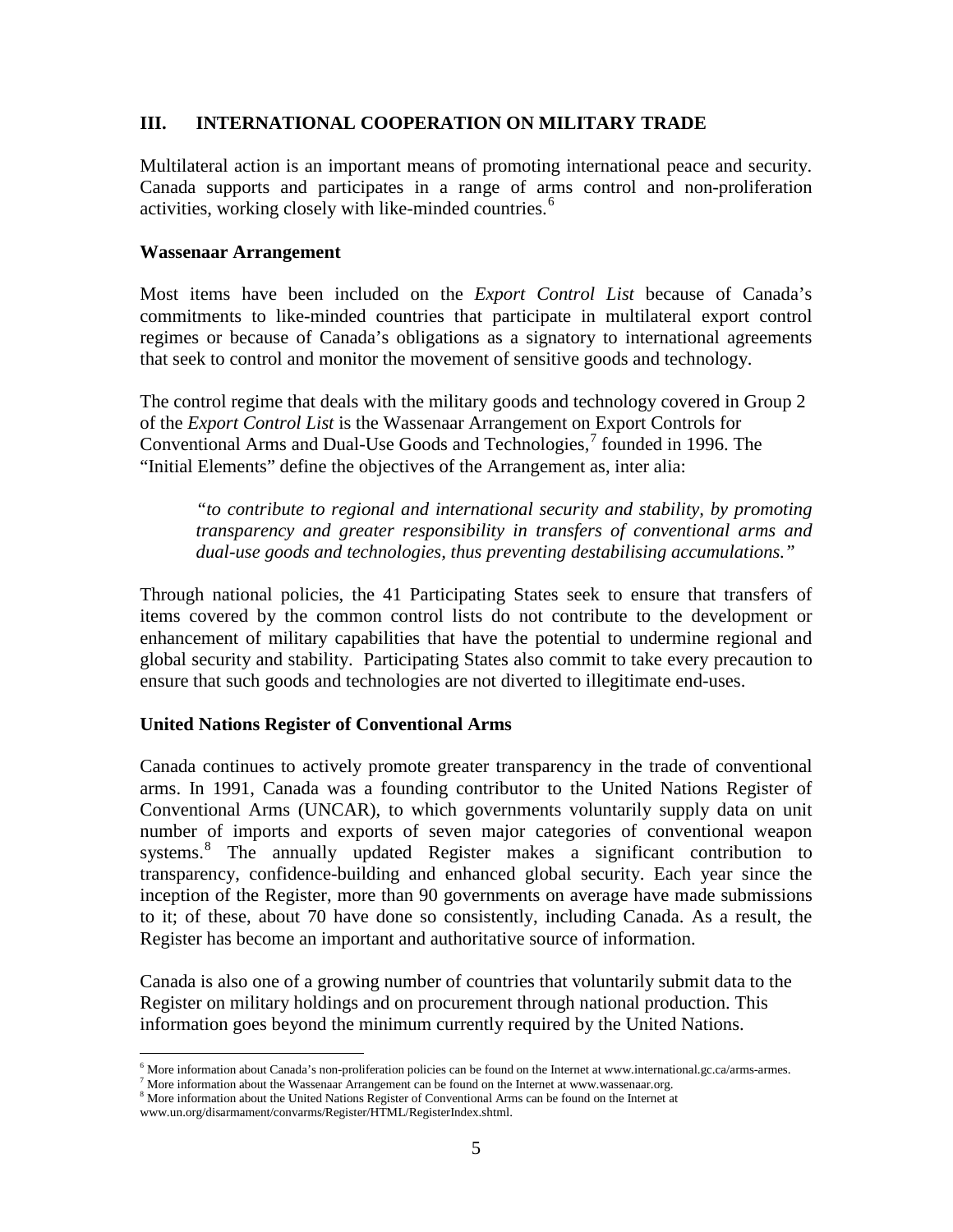#### **III. INTERNATIONAL COOPERATION ON MILITARY TRADE**

Multilateral action is an important means of promoting international peace and security. Canada supports and participates in a range of arms control and non-proliferation activities, working closely with like-minded countries.<sup>[6](#page-7-0)</sup>

#### **Wassenaar Arrangement**

Most items have been included on the *Export Control List* because of Canada's commitments to like-minded countries that participate in multilateral export control regimes or because of Canada's obligations as a signatory to international agreements that seek to control and monitor the movement of sensitive goods and technology.

The control regime that deals with the military goods and technology covered in Group 2 of the *Export Control List* is the Wassenaar Arrangement on Export Controls for Conventional Arms and Dual-Use Goods and Technologies, [7](#page-7-1) founded in 1996. The "Initial Elements" define the objectives of the Arrangement as, inter alia:

*"to contribute to regional and international security and stability, by promoting transparency and greater responsibility in transfers of conventional arms and dual-use goods and technologies, thus preventing destabilising accumulations."*

Through national policies, the 41 Participating States seek to ensure that transfers of items covered by the common control lists do not contribute to the development or enhancement of military capabilities that have the potential to undermine regional and global security and stability. Participating States also commit to take every precaution to ensure that such goods and technologies are not diverted to illegitimate end-uses.

#### **United Nations Register of Conventional Arms**

Canada continues to actively promote greater transparency in the trade of conventional arms. In 1991, Canada was a founding contributor to the United Nations Register of Conventional Arms (UNCAR), to which governments voluntarily supply data on unit number of imports and exports of seven major categories of conventional weapon systems.<sup>[8](#page-7-2)</sup> The annually updated Register makes a significant contribution to transparency, confidence-building and enhanced global security. Each year since the inception of the Register, more than 90 governments on average have made submissions to it; of these, about 70 have done so consistently, including Canada. As a result, the Register has become an important and authoritative source of information.

Canada is also one of a growing number of countries that voluntarily submit data to the Register on military holdings and on procurement through national production. This information goes beyond the minimum currently required by the United Nations.

 $6$  More information about Canada's non-proliferation policies can be found on the Internet at www.international.gc.ca/arms-armes.

<span id="page-7-0"></span> $7$  More information about the Wassenaar Arrangement can be found on the Internet at www.wassenaar.org.

<span id="page-7-2"></span><span id="page-7-1"></span><sup>&</sup>lt;sup>8</sup> More information about the United Nations Register of Conventional Arms can be found on the Internet at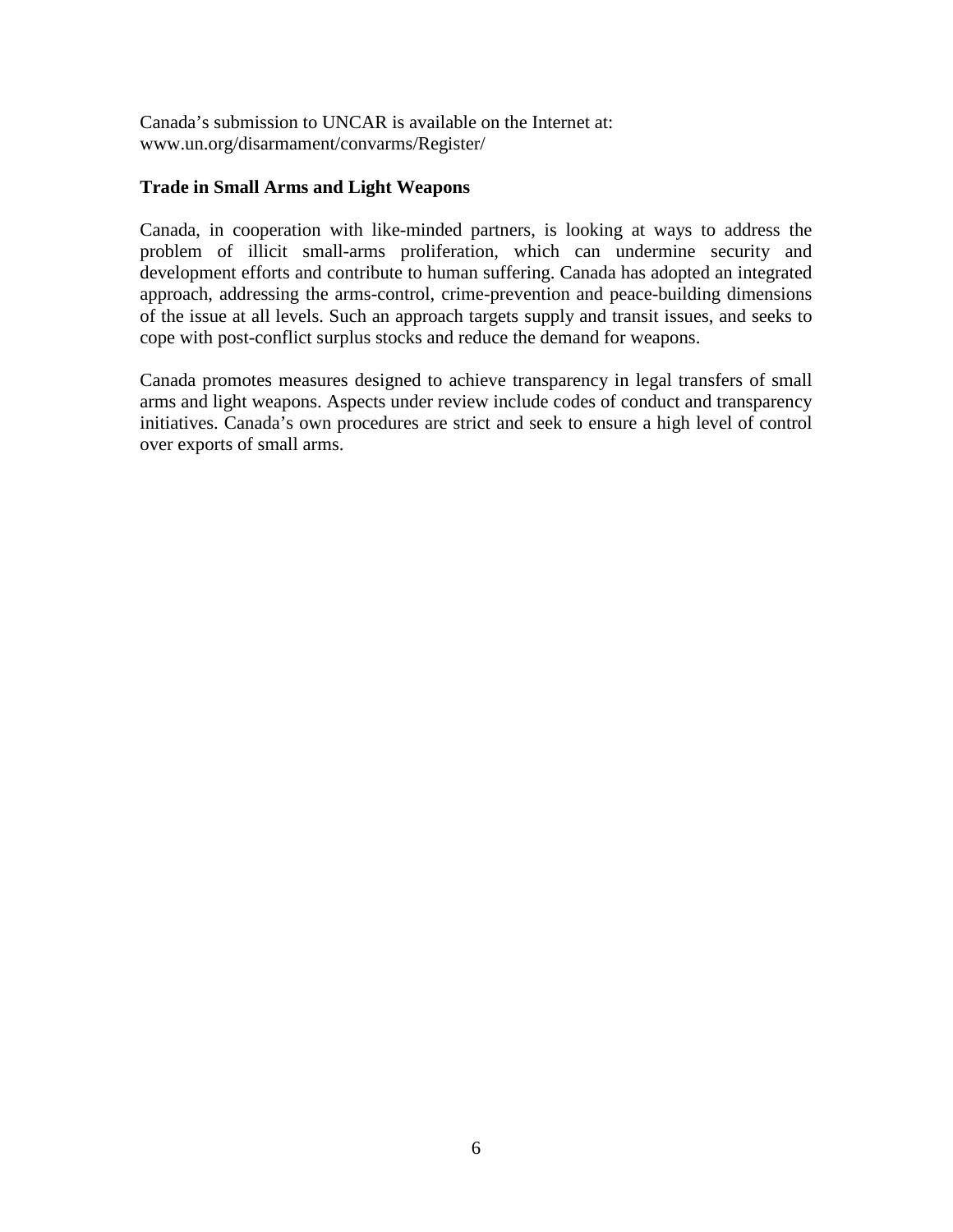Canada's submission to UNCAR is available on the Internet at: [www.un.org/d](http://www.un.org/)isarmament/convarms/Register/

### **Trade in Small Arms and Light Weapons**

Canada, in cooperation with like-minded partners, is looking at ways to address the problem of illicit small-arms proliferation, which can undermine security and development efforts and contribute to human suffering. Canada has adopted an integrated approach, addressing the arms-control, crime-prevention and peace-building dimensions of the issue at all levels. Such an approach targets supply and transit issues, and seeks to cope with post-conflict surplus stocks and reduce the demand for weapons.

Canada promotes measures designed to achieve transparency in legal transfers of small arms and light weapons. Aspects under review include codes of conduct and transparency initiatives. Canada's own procedures are strict and seek to ensure a high level of control over exports of small arms.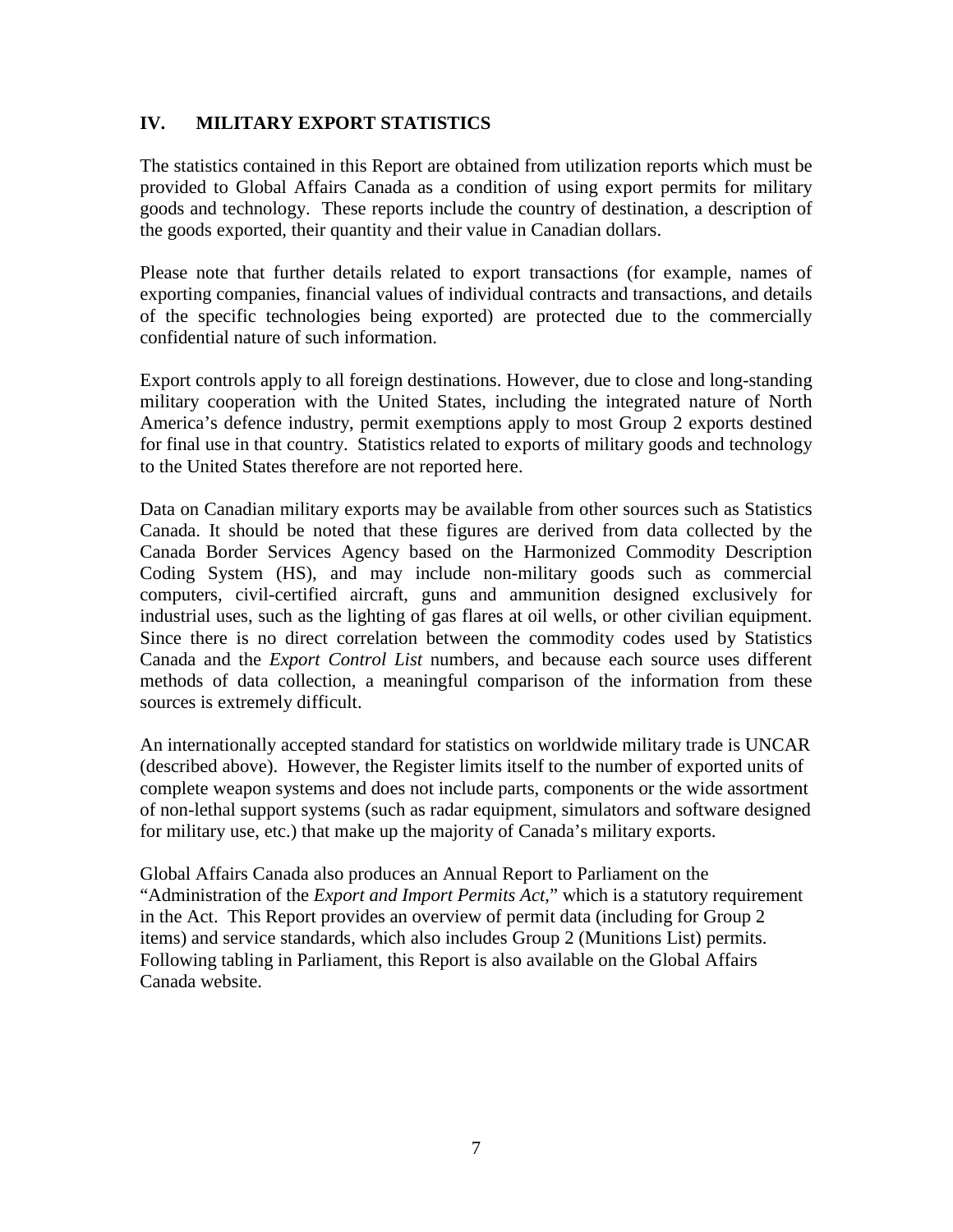## **IV. MILITARY EXPORT STATISTICS**

The statistics contained in this Report are obtained from utilization reports which must be provided to Global Affairs Canada as a condition of using export permits for military goods and technology. These reports include the country of destination, a description of the goods exported, their quantity and their value in Canadian dollars.

Please note that further details related to export transactions (for example, names of exporting companies, financial values of individual contracts and transactions, and details of the specific technologies being exported) are protected due to the commercially confidential nature of such information.

Export controls apply to all foreign destinations. However, due to close and long-standing military cooperation with the United States, including the integrated nature of North America's defence industry, permit exemptions apply to most Group 2 exports destined for final use in that country. Statistics related to exports of military goods and technology to the United States therefore are not reported here.

Data on Canadian military exports may be available from other sources such as Statistics Canada. It should be noted that these figures are derived from data collected by the Canada Border Services Agency based on the Harmonized Commodity Description Coding System (HS), and may include non-military goods such as commercial computers, civil-certified aircraft, guns and ammunition designed exclusively for industrial uses, such as the lighting of gas flares at oil wells, or other civilian equipment. Since there is no direct correlation between the commodity codes used by Statistics Canada and the *Export Control List* numbers, and because each source uses different methods of data collection, a meaningful comparison of the information from these sources is extremely difficult.

An internationally accepted standard for statistics on worldwide military trade is UNCAR (described above). However, the Register limits itself to the number of exported units of complete weapon systems and does not include parts, components or the wide assortment of non-lethal support systems (such as radar equipment, simulators and software designed for military use, etc.) that make up the majority of Canada's military exports.

Global Affairs Canada also produces an Annual Report to Parliament on the "Administration of the *Export and Import Permits Act*," which is a statutory requirement in the Act. This Report provides an overview of permit data (including for Group 2 items) and service standards, which also includes Group 2 (Munitions List) permits. Following tabling in Parliament, this Report is also available on the Global Affairs Canada website.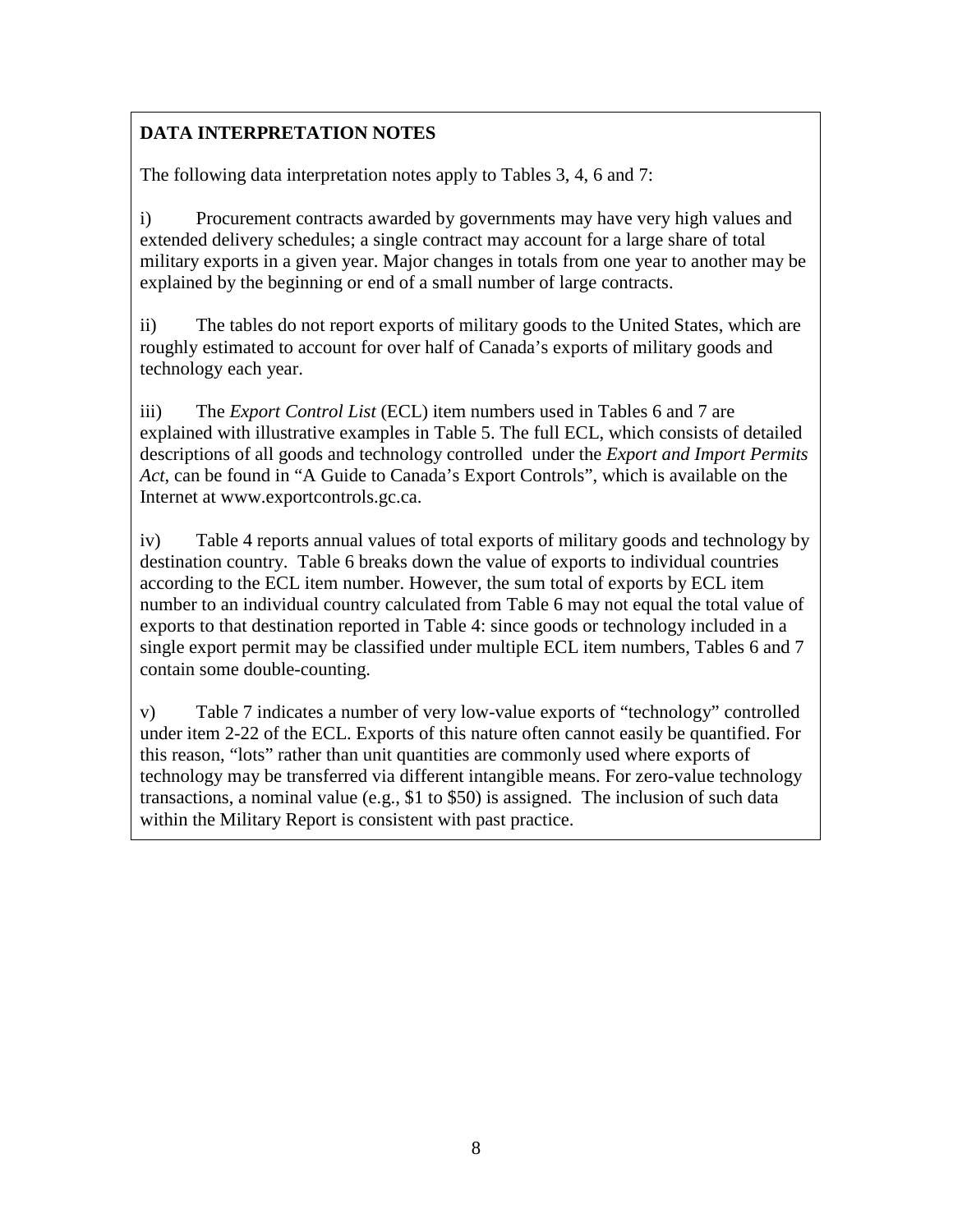# **DATA INTERPRETATION NOTES**

The following data interpretation notes apply to Tables 3, 4, 6 and 7:

i) Procurement contracts awarded by governments may have very high values and extended delivery schedules; a single contract may account for a large share of total military exports in a given year. Major changes in totals from one year to another may be explained by the beginning or end of a small number of large contracts.

ii) The tables do not report exports of military goods to the United States, which are roughly estimated to account for over half of Canada's exports of military goods and technology each year.

iii) The *Export Control List* (ECL) item numbers used in Tables 6 and 7 are explained with illustrative examples in Table 5. The full ECL, which consists of detailed descriptions of all goods and technology controlled under the *Export and Import Permits Act*, can be found in "A Guide to Canada's Export Controls", which is available on the Internet at www.exportcontrols.gc.ca.

iv) Table 4 reports annual values of total exports of military goods and technology by destination country. Table 6 breaks down the value of exports to individual countries according to the ECL item number. However, the sum total of exports by ECL item number to an individual country calculated from Table 6 may not equal the total value of exports to that destination reported in Table 4: since goods or technology included in a single export permit may be classified under multiple ECL item numbers, Tables 6 and 7 contain some double-counting.

v) Table 7 indicates a number of very low-value exports of "technology" controlled under item 2-22 of the ECL. Exports of this nature often cannot easily be quantified. For this reason, "lots" rather than unit quantities are commonly used where exports of technology may be transferred via different intangible means. For zero-value technology transactions, a nominal value (e.g., \$1 to \$50) is assigned. The inclusion of such data within the Military Report is consistent with past practice.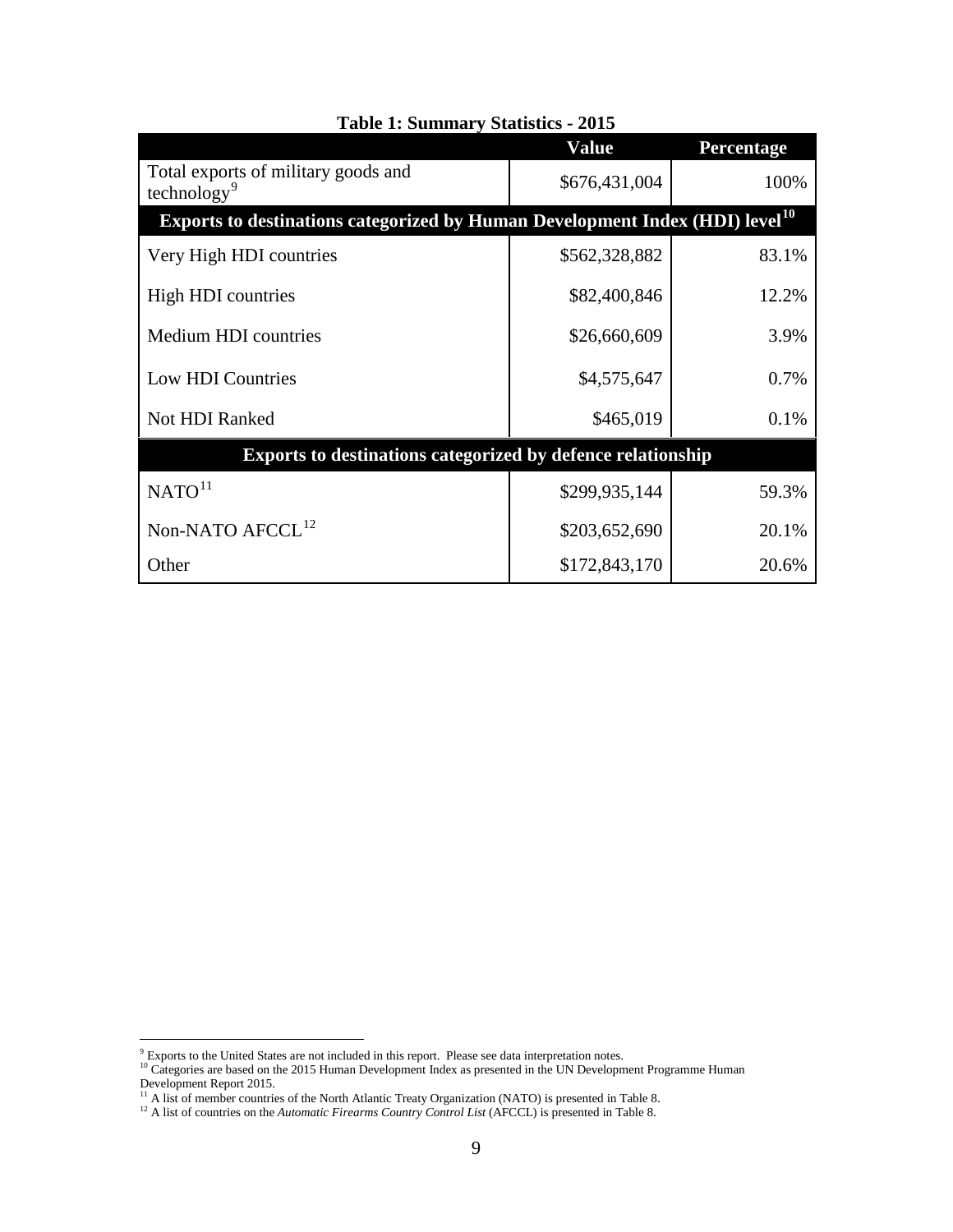|                                                                                                | <b>Value</b>  | Percentage |  |
|------------------------------------------------------------------------------------------------|---------------|------------|--|
| Total exports of military goods and<br>technology <sup>9</sup>                                 | \$676,431,004 | 100%       |  |
| <b>Exports to destinations categorized by Human Development Index (HDI) level<sup>10</sup></b> |               |            |  |
| Very High HDI countries                                                                        | \$562,328,882 | 83.1%      |  |
| High HDI countries                                                                             | \$82,400,846  | 12.2%      |  |
| Medium HDI countries                                                                           | \$26,660,609  | 3.9%       |  |
| Low HDI Countries                                                                              | \$4,575,647   | 0.7%       |  |
| Not HDI Ranked                                                                                 | \$465,019     | 0.1%       |  |
| Exports to destinations categorized by defence relationship                                    |               |            |  |
| NATO <sup>11</sup>                                                                             | \$299,935,144 | 59.3%      |  |
| Non-NATO AFCCL <sup>12</sup>                                                                   | \$203,652,690 | 20.1%      |  |
| Other                                                                                          | \$172,843,170 | 20.6%      |  |

**Table 1: Summary Statistics - 2015**

<span id="page-11-1"></span><span id="page-11-0"></span> $9$  Exports to the United States are not included in this report. Please see data interpretation notes.<br><sup>10</sup> Categories are based on the 2015 Human Development Index as presented in the UN Development Programme Human Development Report 2015.

<span id="page-11-3"></span><span id="page-11-2"></span><sup>&</sup>lt;sup>11</sup> A list of member countries of the North Atlantic Treaty Organization (NATO) is presented in Table 8. <sup>12</sup> A list of countries on the *Automatic Firearms Country Control List* (AFCCL) is presented in Table 8.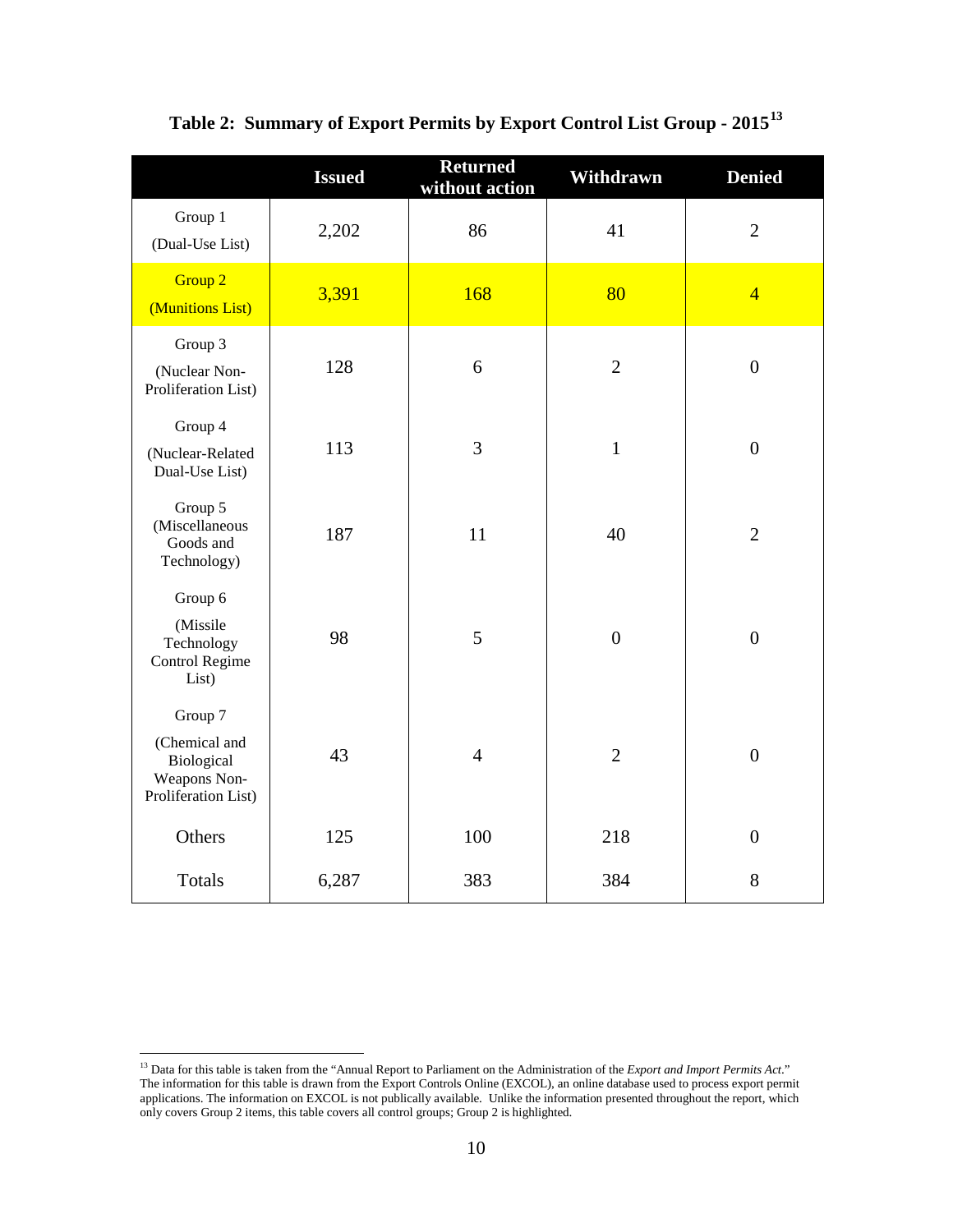|                                                                               | <b>Issued</b> | <b>Returned</b><br>without action | Withdrawn        | <b>Denied</b>    |
|-------------------------------------------------------------------------------|---------------|-----------------------------------|------------------|------------------|
| Group 1<br>(Dual-Use List)                                                    | 2,202         | 86                                | 41               | $\overline{2}$   |
| Group <sub>2</sub><br>(Munitions List)                                        | 3,391         | 168                               | 80               | $\overline{4}$   |
| Group 3<br>(Nuclear Non-<br>Proliferation List)                               | 128           | 6                                 | $\overline{2}$   | $\boldsymbol{0}$ |
| Group 4<br>(Nuclear-Related<br>Dual-Use List)                                 | 113           | 3                                 | $\mathbf 1$      | $\boldsymbol{0}$ |
| Group 5<br>(Miscellaneous<br>Goods and<br>Technology)                         | 187           | 11                                | 40               | $\overline{2}$   |
| Group 6<br>(Missile<br>Technology<br>Control Regime<br>List)                  | 98            | 5                                 | $\boldsymbol{0}$ | $\boldsymbol{0}$ |
| Group 7<br>(Chemical and<br>Biological<br>Weapons Non-<br>Proliferation List) | 43            | $\overline{4}$                    | $\overline{2}$   | $\boldsymbol{0}$ |
| Others                                                                        | 125           | 100                               | 218              | $\boldsymbol{0}$ |
| Totals                                                                        | 6,287         | 383                               | 384              | 8                |

**Table 2: Summary of Export Permits by Export Control List Group - 2015[13](#page-12-0)**

<span id="page-12-0"></span><sup>&</sup>lt;sup>13</sup> Data for this table is taken from the "Annual Report to Parliament on the Administration of the *Export and Import Permits Act*." The information for this table is drawn from the Export Controls Online (EXCOL), an online database used to process export permit applications. The information on EXCOL is not publically available. Unlike the information presented throughout the report, which only covers Group 2 items, this table covers all control groups; Group 2 is highlighted.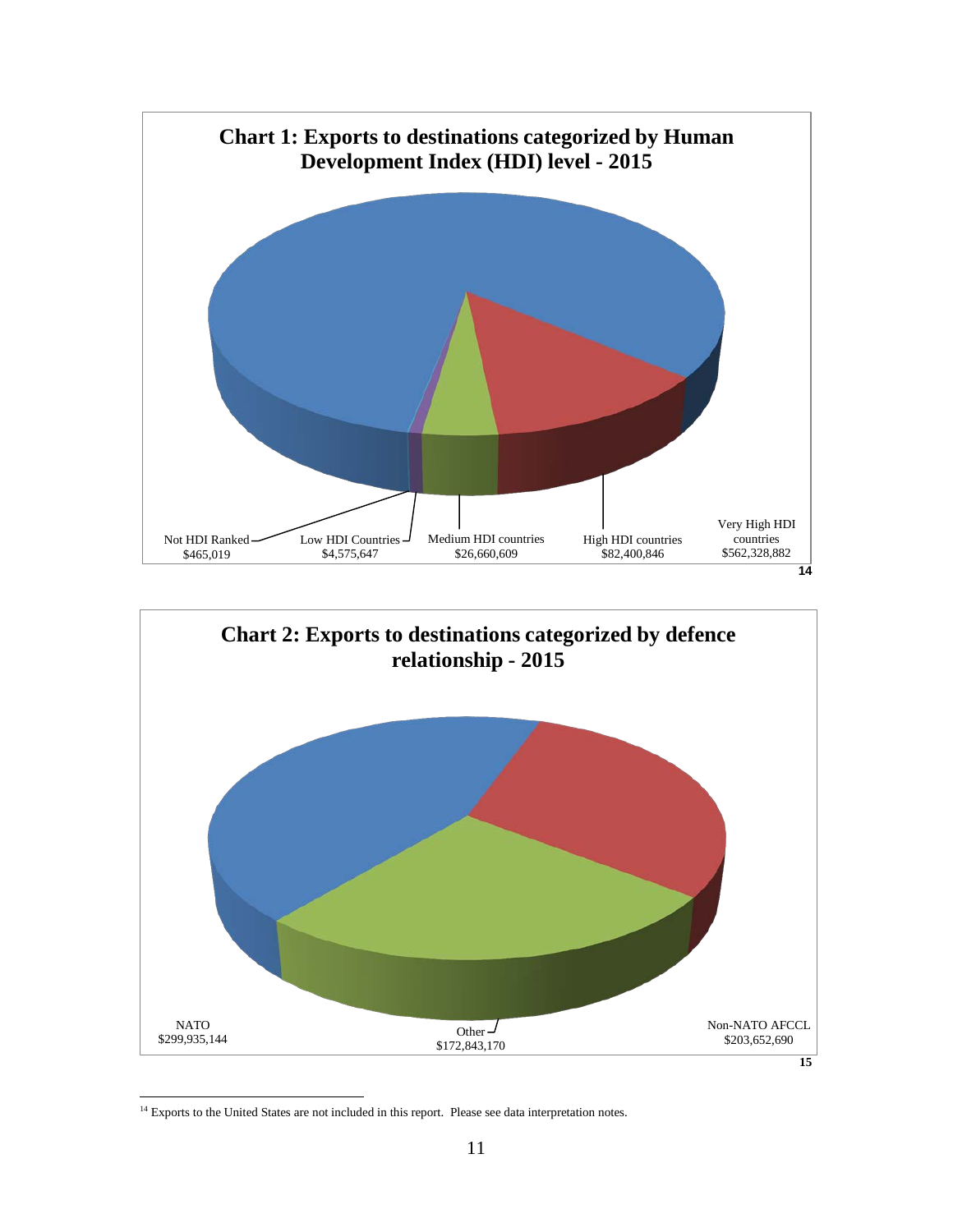

**[<sup>15</sup>](#page-13-1)**

<span id="page-13-1"></span><span id="page-13-0"></span><sup>&</sup>lt;sup>14</sup> Exports to the United States are not included in this report. Please see data interpretation notes.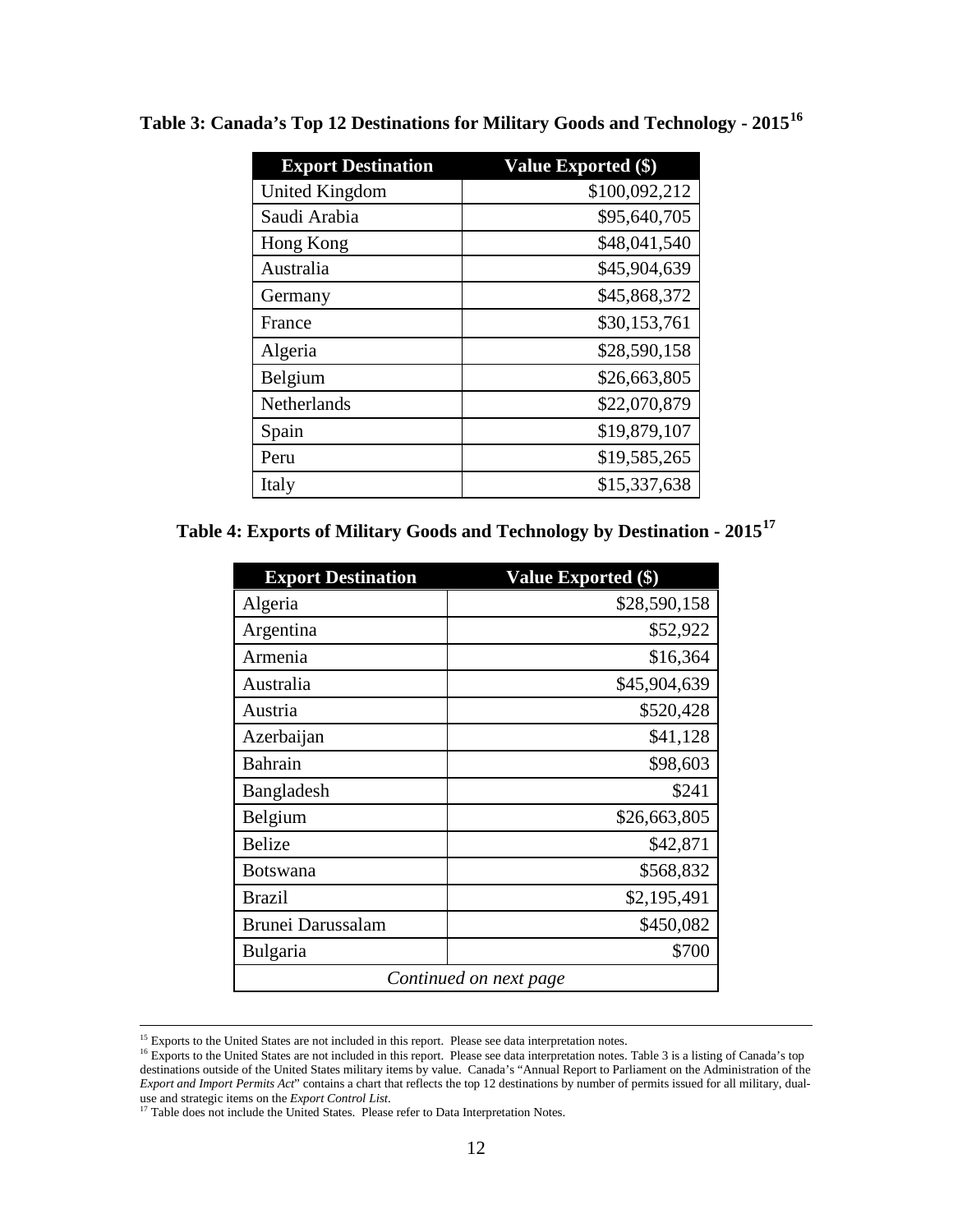| <b>Export Destination</b> | <b>Value Exported (\$)</b> |
|---------------------------|----------------------------|
| United Kingdom            | \$100,092,212              |
| Saudi Arabia              | \$95,640,705               |
| Hong Kong                 | \$48,041,540               |
| Australia                 | \$45,904,639               |
| Germany                   | \$45,868,372               |
| France                    | \$30,153,761               |
| Algeria                   | \$28,590,158               |
| Belgium                   | \$26,663,805               |
| Netherlands               | \$22,070,879               |
| Spain                     | \$19,879,107               |
| Peru                      | \$19,585,265               |
| Italy                     | \$15,337,638               |

**Table 3: Canada's Top 12 Destinations for Military Goods and Technology - 2015[16](#page-14-0)**

**Table 4: Exports of Military Goods and Technology by Destination - 2015[17](#page-14-1)**

| <b>Export Destination</b> | Value Exported (\$) |  |
|---------------------------|---------------------|--|
| Algeria                   | \$28,590,158        |  |
| Argentina                 | \$52,922            |  |
| Armenia                   | \$16,364            |  |
| Australia                 | \$45,904,639        |  |
| Austria                   | \$520,428           |  |
| Azerbaijan                | \$41,128            |  |
| <b>Bahrain</b>            | \$98,603            |  |
| Bangladesh                | \$241               |  |
| Belgium                   | \$26,663,805        |  |
| <b>Belize</b>             | \$42,871            |  |
| <b>Botswana</b>           | \$568,832           |  |
| <b>Brazil</b>             | \$2,195,491         |  |
| Brunei Darussalam         | \$450,082           |  |
| Bulgaria                  | \$700               |  |
| Continued on next page    |                     |  |

<sup>&</sup>lt;sup>15</sup> Exports to the United States are not included in this report. Please see data interpretation notes.

<span id="page-14-0"></span> $16$  Exports to the United States are not included in this report. Please see data interpretation notes. Table 3 is a listing of Canada's top destinations outside of the United States military items by value. Canada's "Annual Report to Parliament on the Administration of the *Export and Import Permits Act*" contains a chart that reflects the top 12 destinations by number of permits issued for all military, dual-Export and *import Y ermiss field* Contains a characterial critical stretch to p 12 desimations b<br>use and strategic items on the *Export Control List*.<br><sup>17</sup> Table does not include the United States. Please refer to Data In

<span id="page-14-1"></span>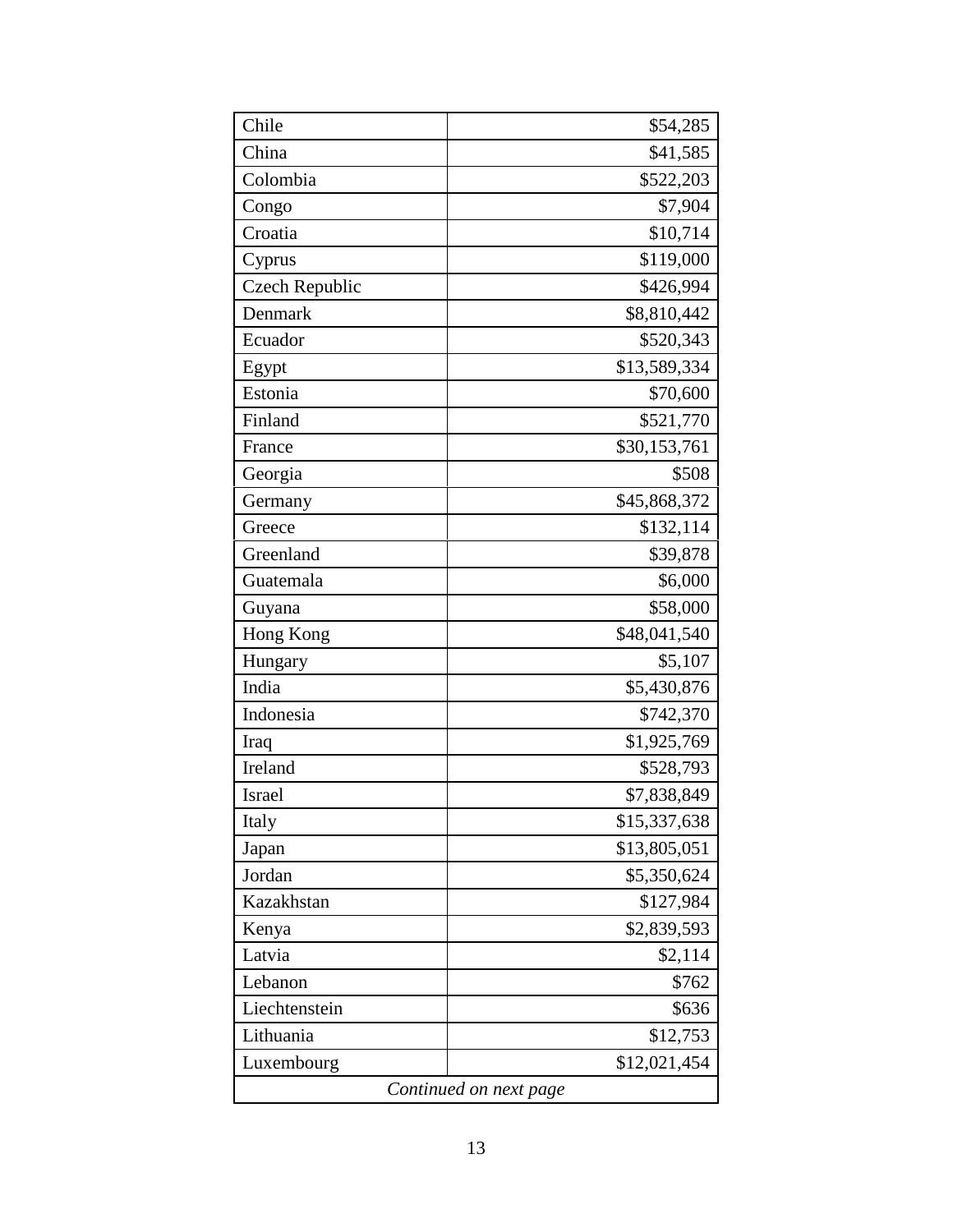| Chile                  | \$54,285     |  |
|------------------------|--------------|--|
| China                  | \$41,585     |  |
| Colombia               | \$522,203    |  |
| Congo                  | \$7,904      |  |
| Croatia                | \$10,714     |  |
| Cyprus                 | \$119,000    |  |
| <b>Czech Republic</b>  | \$426,994    |  |
| Denmark                | \$8,810,442  |  |
| Ecuador                | \$520,343    |  |
| Egypt                  | \$13,589,334 |  |
| Estonia                | \$70,600     |  |
| Finland                | \$521,770    |  |
| France                 | \$30,153,761 |  |
| Georgia                | \$508        |  |
| Germany                | \$45,868,372 |  |
| Greece                 | \$132,114    |  |
| Greenland              | \$39,878     |  |
| Guatemala              | \$6,000      |  |
| Guyana                 | \$58,000     |  |
| Hong Kong              | \$48,041,540 |  |
| Hungary                | \$5,107      |  |
| India                  | \$5,430,876  |  |
| Indonesia              | \$742,370    |  |
| Iraq                   | \$1,925,769  |  |
| Ireland                | \$528,793    |  |
| Israel                 | \$7,838,849  |  |
| Italy                  | \$15,337,638 |  |
| Japan                  | \$13,805,051 |  |
| Jordan                 | \$5,350,624  |  |
| Kazakhstan             | \$127,984    |  |
| Kenya                  | \$2,839,593  |  |
| Latvia                 | \$2,114      |  |
| Lebanon                | \$762        |  |
| Liechtenstein          | \$636        |  |
| Lithuania              | \$12,753     |  |
| Luxembourg             | \$12,021,454 |  |
| Continued on next page |              |  |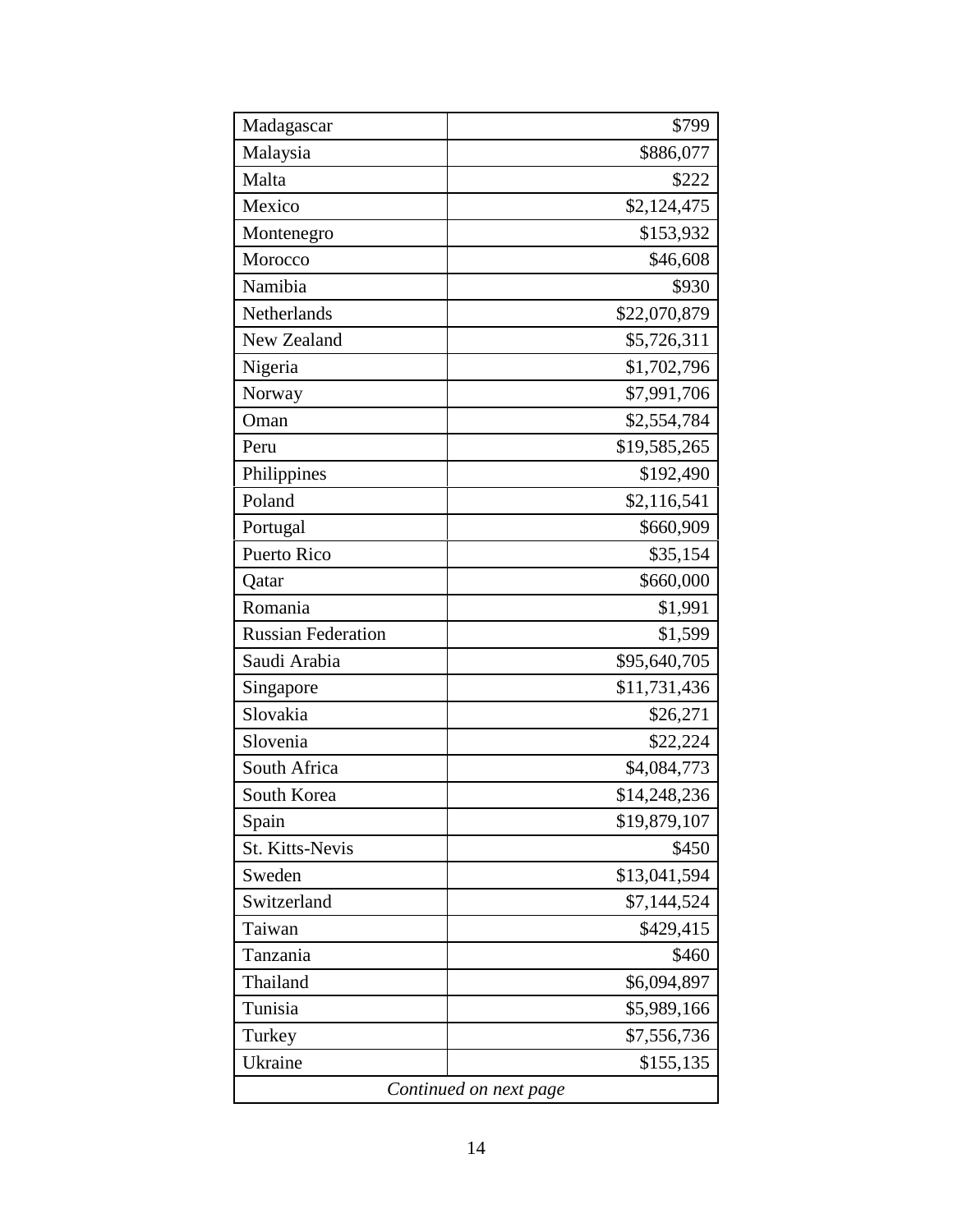| Madagascar                | \$799        |  |
|---------------------------|--------------|--|
| Malaysia                  | \$886,077    |  |
| Malta                     | \$222        |  |
| Mexico                    | \$2,124,475  |  |
| Montenegro                | \$153,932    |  |
| Morocco                   | \$46,608     |  |
| Namibia                   | \$930        |  |
| Netherlands               | \$22,070,879 |  |
| New Zealand               | \$5,726,311  |  |
| Nigeria                   | \$1,702,796  |  |
| Norway                    | \$7,991,706  |  |
| Oman                      | \$2,554,784  |  |
| Peru                      | \$19,585,265 |  |
| Philippines               | \$192,490    |  |
| Poland                    | \$2,116,541  |  |
| Portugal                  | \$660,909    |  |
| <b>Puerto Rico</b>        | \$35,154     |  |
| Qatar                     | \$660,000    |  |
| Romania                   | \$1,991      |  |
| <b>Russian Federation</b> | \$1,599      |  |
| Saudi Arabia              | \$95,640,705 |  |
| Singapore                 | \$11,731,436 |  |
| Slovakia                  | \$26,271     |  |
| Slovenia                  | \$22,224     |  |
| South Africa              | \$4,084,773  |  |
| South Korea               | \$14,248,236 |  |
| Spain                     | \$19,879,107 |  |
| <b>St. Kitts-Nevis</b>    | \$450        |  |
| Sweden                    | \$13,041,594 |  |
| Switzerland               | \$7,144,524  |  |
| Taiwan                    | \$429,415    |  |
| Tanzania                  | \$460        |  |
| Thailand                  | \$6,094,897  |  |
| Tunisia                   | \$5,989,166  |  |
| Turkey                    | \$7,556,736  |  |
| Ukraine                   | \$155,135    |  |
| Continued on next page    |              |  |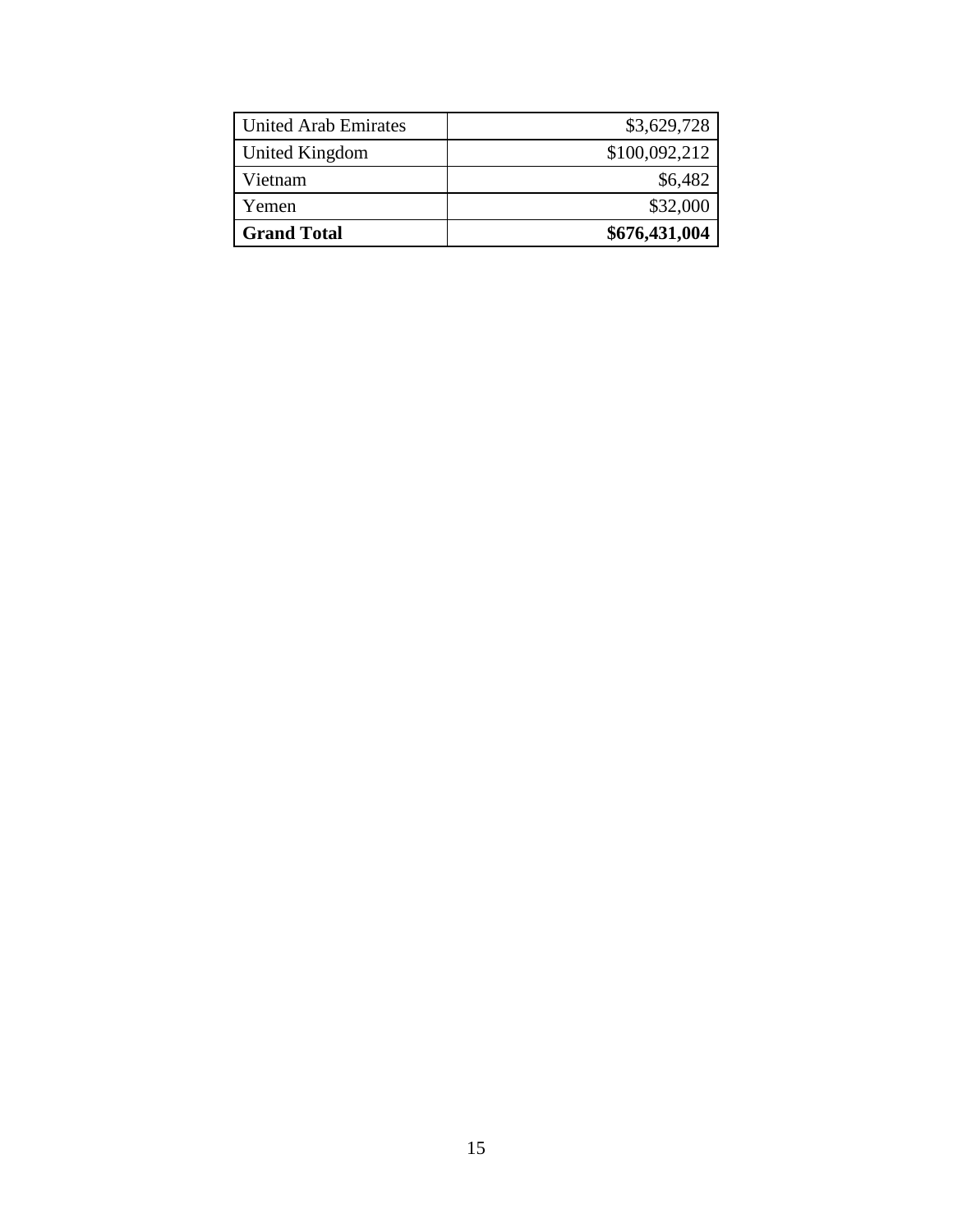| <b>United Arab Emirates</b> | \$3,629,728   |
|-----------------------------|---------------|
| United Kingdom              | \$100,092,212 |
| Vietnam                     | \$6,482       |
| Yemen                       | \$32,000      |
| <b>Grand Total</b>          | \$676,431,004 |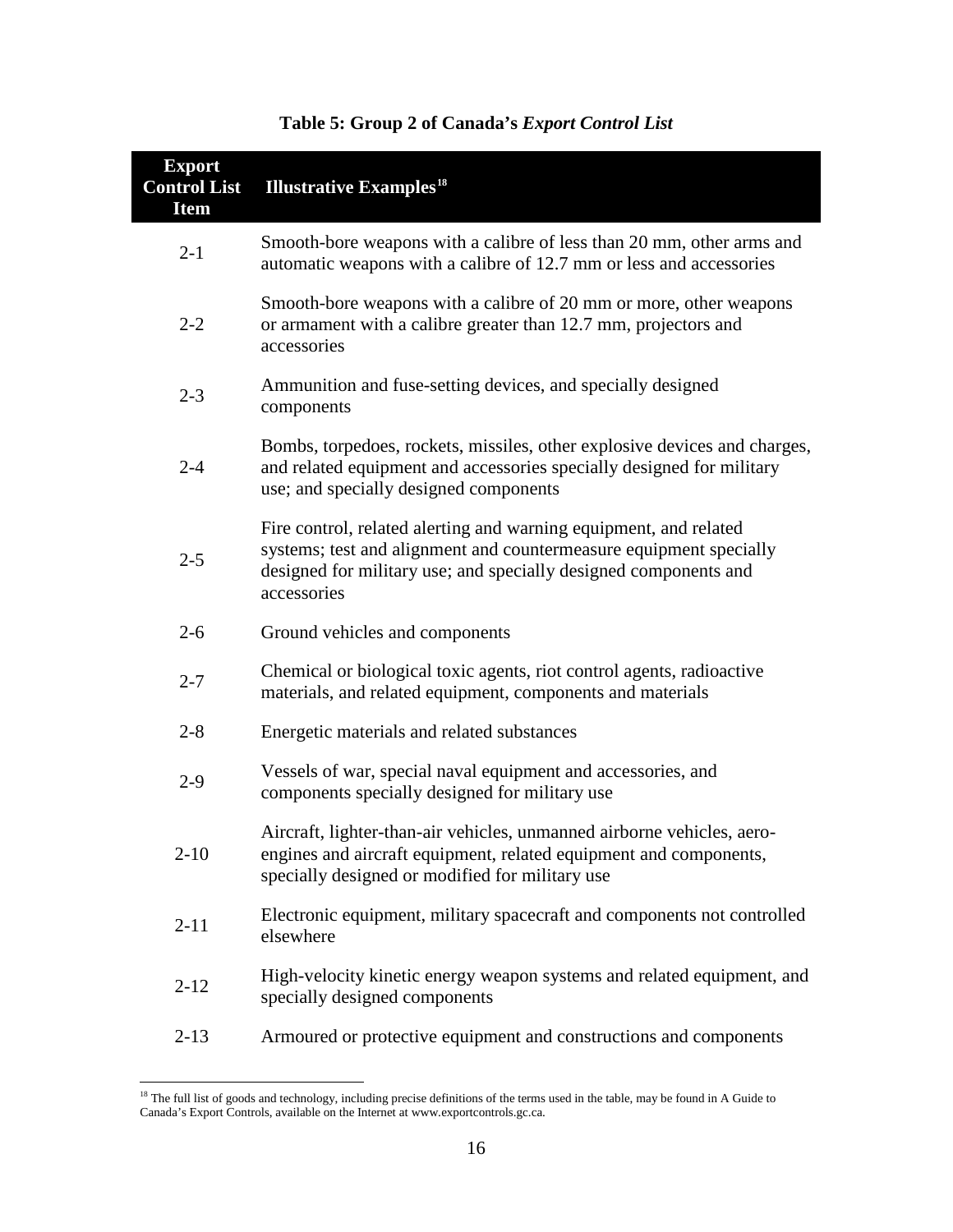| <b>Export</b><br><b>Control List</b><br><b>Item</b> | <b>Illustrative Examples<sup>18</sup></b>                                                                                                                                                                                  |
|-----------------------------------------------------|----------------------------------------------------------------------------------------------------------------------------------------------------------------------------------------------------------------------------|
| $2 - 1$                                             | Smooth-bore weapons with a calibre of less than 20 mm, other arms and<br>automatic weapons with a calibre of 12.7 mm or less and accessories                                                                               |
| $2 - 2$                                             | Smooth-bore weapons with a calibre of 20 mm or more, other weapons<br>or armament with a calibre greater than 12.7 mm, projectors and<br>accessories                                                                       |
| $2 - 3$                                             | Ammunition and fuse-setting devices, and specially designed<br>components                                                                                                                                                  |
| $2 - 4$                                             | Bombs, torpedoes, rockets, missiles, other explosive devices and charges,<br>and related equipment and accessories specially designed for military<br>use; and specially designed components                               |
| $2 - 5$                                             | Fire control, related alerting and warning equipment, and related<br>systems; test and alignment and countermeasure equipment specially<br>designed for military use; and specially designed components and<br>accessories |
| $2 - 6$                                             | Ground vehicles and components                                                                                                                                                                                             |
| $2 - 7$                                             | Chemical or biological toxic agents, riot control agents, radioactive<br>materials, and related equipment, components and materials                                                                                        |
| $2 - 8$                                             | Energetic materials and related substances                                                                                                                                                                                 |
| $2 - 9$                                             | Vessels of war, special naval equipment and accessories, and<br>components specially designed for military use                                                                                                             |
| $2 - 10$                                            | Aircraft, lighter-than-air vehicles, unmanned airborne vehicles, aero-<br>engines and aircraft equipment, related equipment and components,<br>specially designed or modified for military use                             |
| $2 - 11$                                            | Electronic equipment, military spacecraft and components not controlled<br>elsewhere                                                                                                                                       |
| $2 - 12$                                            | High-velocity kinetic energy weapon systems and related equipment, and<br>specially designed components                                                                                                                    |
| $2 - 13$                                            | Armoured or protective equipment and constructions and components                                                                                                                                                          |

## **Table 5: Group 2 of Canada's** *Export Control List*

<span id="page-18-0"></span><sup>&</sup>lt;sup>18</sup> The full list of goods and technology, including precise definitions of the terms used in the table, may be found in A Guide to Canada's Export Controls, available on the Internet a[t www.exportcontrols.gc.ca.](http://www.exportcontrols.gc.ca/)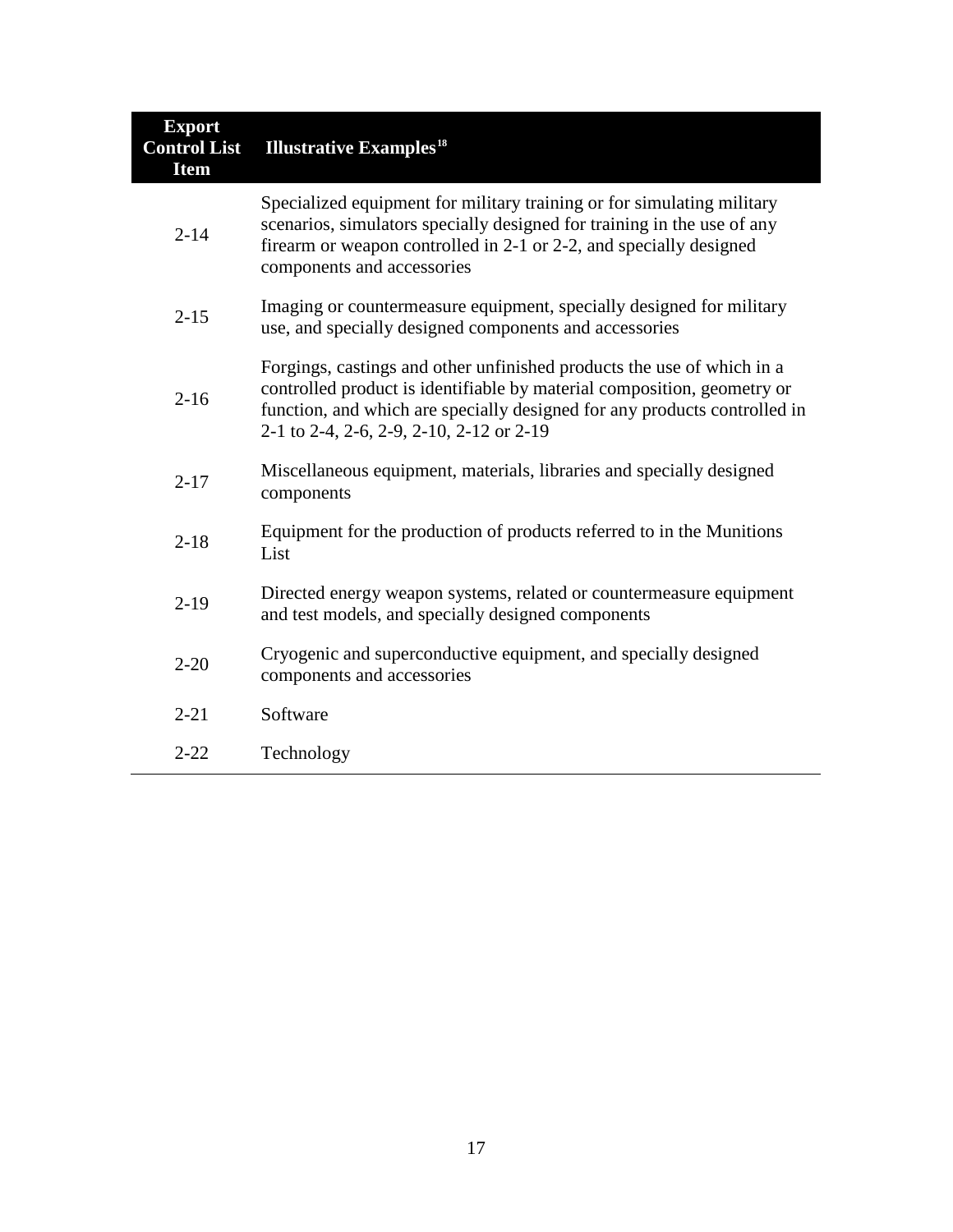| <b>Export</b><br><b>Control List</b><br><b>Item</b> | <b>Illustrative Examples<sup>18</sup></b>                                                                                                                                                                                                                                  |
|-----------------------------------------------------|----------------------------------------------------------------------------------------------------------------------------------------------------------------------------------------------------------------------------------------------------------------------------|
| $2 - 14$                                            | Specialized equipment for military training or for simulating military<br>scenarios, simulators specially designed for training in the use of any<br>firearm or weapon controlled in 2-1 or 2-2, and specially designed<br>components and accessories                      |
| $2 - 15$                                            | Imaging or countermeasure equipment, specially designed for military<br>use, and specially designed components and accessories                                                                                                                                             |
| $2 - 16$                                            | Forgings, castings and other unfinished products the use of which in a<br>controlled product is identifiable by material composition, geometry or<br>function, and which are specially designed for any products controlled in<br>2-1 to 2-4, 2-6, 2-9, 2-10, 2-12 or 2-19 |
| $2 - 17$                                            | Miscellaneous equipment, materials, libraries and specially designed<br>components                                                                                                                                                                                         |
| $2 - 18$                                            | Equipment for the production of products referred to in the Munitions<br>List                                                                                                                                                                                              |
| $2-19$                                              | Directed energy weapon systems, related or countermeasure equipment<br>and test models, and specially designed components                                                                                                                                                  |
| $2 - 20$                                            | Cryogenic and superconductive equipment, and specially designed<br>components and accessories                                                                                                                                                                              |
| $2 - 21$                                            | Software                                                                                                                                                                                                                                                                   |
| $2 - 22$                                            | Technology                                                                                                                                                                                                                                                                 |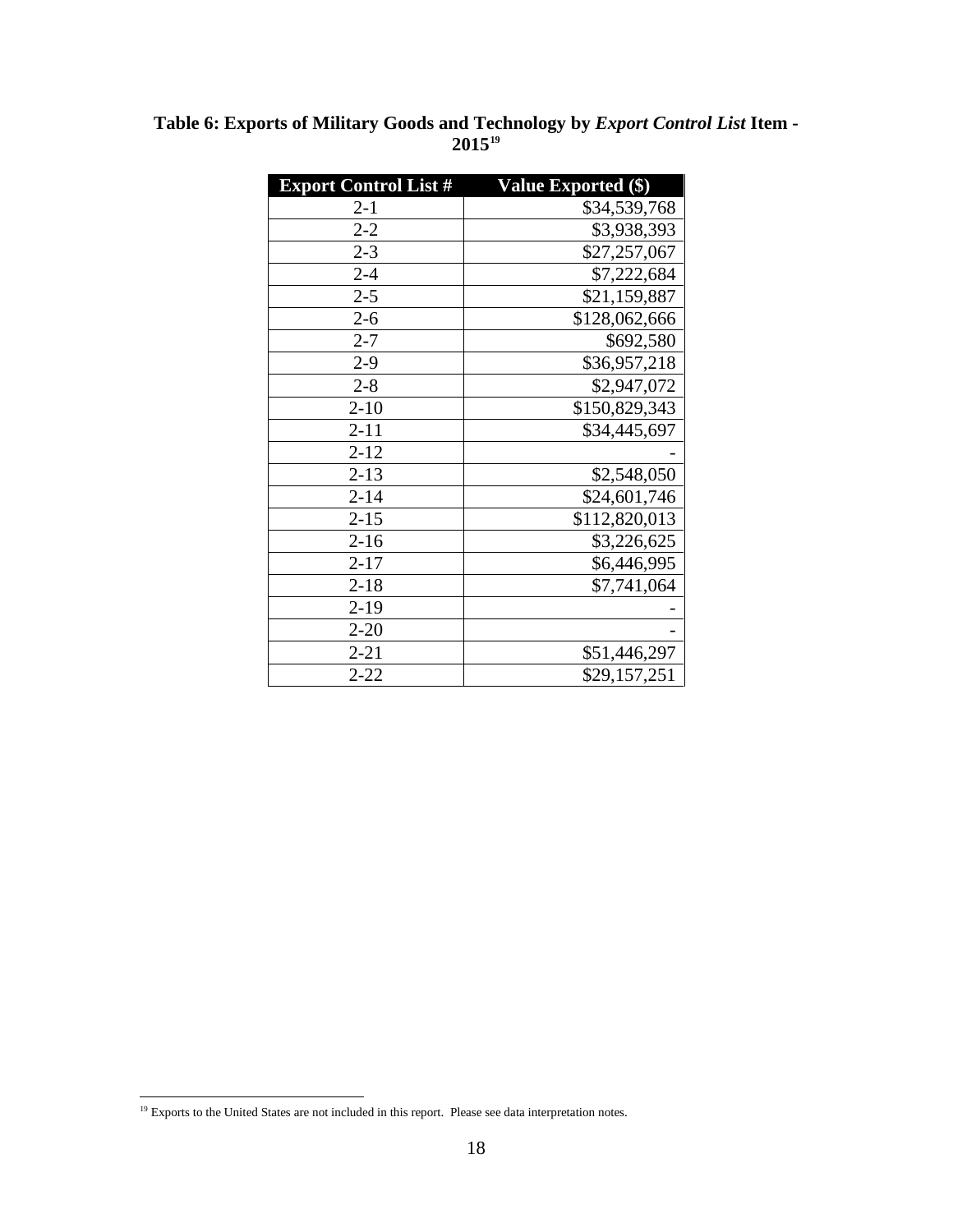| <b>Export Control List #</b> | <b>Value Exported (\$)</b> |
|------------------------------|----------------------------|
| $2 - 1$                      | \$34,539,768               |
| $2 - 2$                      | \$3,938,393                |
| $2 - 3$                      | \$27,257,067               |
| $2 - 4$                      | \$7,222,684                |
| $2 - 5$                      | \$21,159,887               |
| $2 - 6$                      | \$128,062,666              |
| $2 - 7$                      | \$692,580                  |
| $2 - 9$                      | \$36,957,218               |
| $2 - 8$                      | \$2,947,072                |
| $2 - 10$                     | \$150,829,343              |
| $2 - 11$                     | \$34,445,697               |
| $2 - 12$                     |                            |
| $2 - 13$                     | \$2,548,050                |
| $2 - 14$                     | \$24,601,746               |
| $2 - 15$                     | \$112,820,013              |
| $2 - 16$                     | \$3,226,625                |
| $2 - 17$                     | \$6,446,995                |
| $2 - 18$                     | \$7,741,064                |
| $2-19$                       |                            |
| $2 - 20$                     |                            |
| $2 - 21$                     | \$51,446,297               |
| $2 - 22$                     | \$29,157,251               |

**Table 6: Exports of Military Goods and Technology by** *Export Control List* **Item - 2015[19](#page-20-0)**

<span id="page-20-0"></span><sup>&</sup>lt;sup>19</sup> Exports to the United States are not included in this report. Please see data interpretation notes.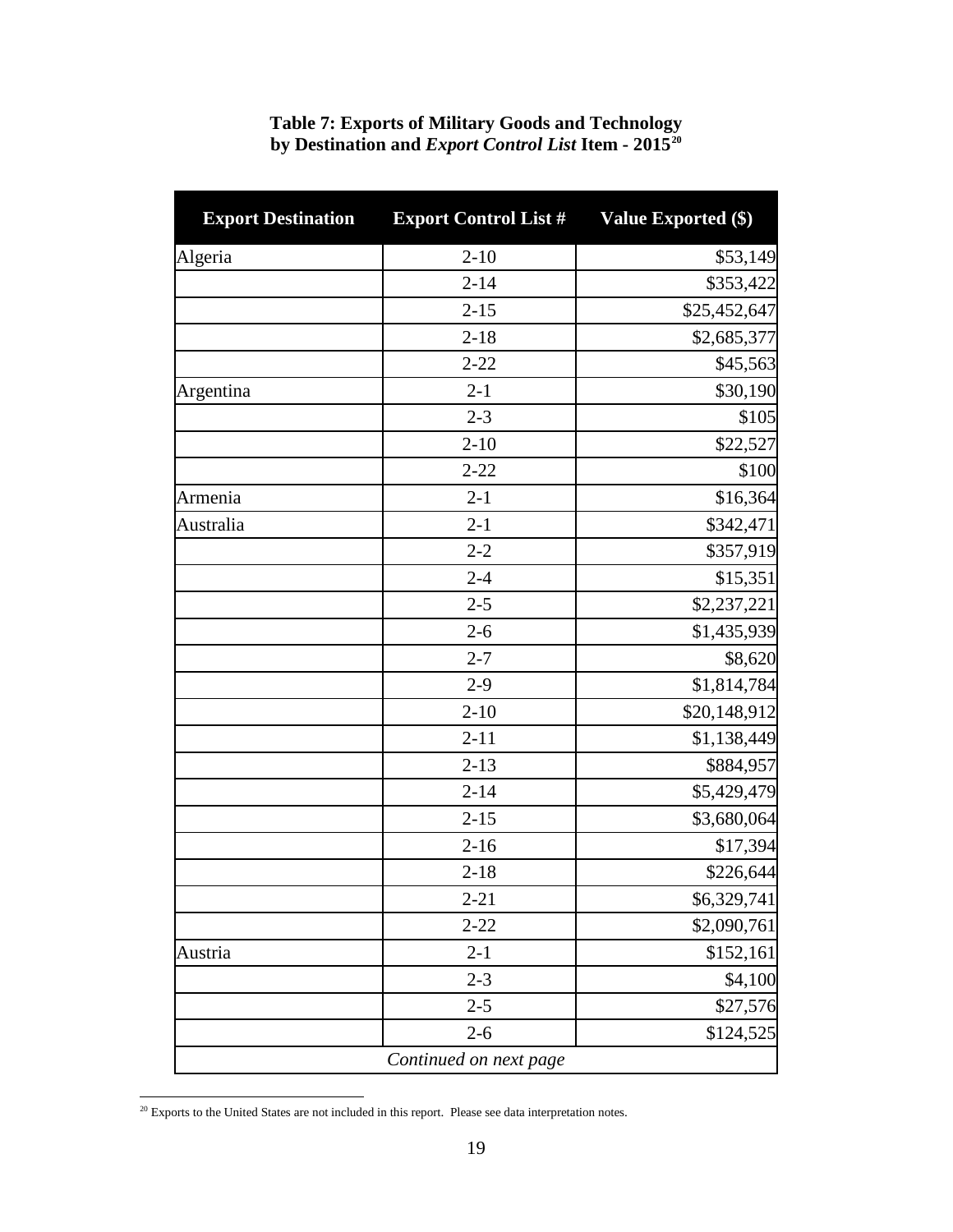| <b>Export Destination</b> | <b>Export Control List #</b> | <b>Value Exported (\$)</b> |
|---------------------------|------------------------------|----------------------------|
| Algeria                   | $2 - 10$                     | \$53,149                   |
|                           | $2 - 14$                     | \$353,422                  |
|                           | $2 - 15$                     | \$25,452,647               |
|                           | $2 - 18$                     | \$2,685,377                |
|                           | $2 - 22$                     | \$45,563                   |
| Argentina                 | $2 - 1$                      | \$30,190                   |
|                           | $2 - 3$                      | \$105                      |
|                           | $2 - 10$                     | \$22,527                   |
|                           | $2 - 22$                     | \$100                      |
| Armenia                   | $2 - 1$                      | \$16,364                   |
| Australia                 | $2 - 1$                      | \$342,471                  |
|                           | $2 - 2$                      | \$357,919                  |
|                           | $2 - 4$                      | \$15,351                   |
|                           | $2 - 5$                      | \$2,237,221                |
|                           | $2 - 6$                      | \$1,435,939                |
|                           | $2 - 7$                      | \$8,620                    |
|                           | $2 - 9$                      | \$1,814,784                |
|                           | $2 - 10$                     | \$20,148,912               |
|                           | $2 - 11$                     | \$1,138,449                |
|                           | $2 - 13$                     | \$884,957                  |
|                           | $2 - 14$                     | \$5,429,479                |
|                           | $2 - 15$                     | \$3,680,064                |
|                           | $2 - 16$                     | \$17,394                   |
|                           | $2 - 18$                     | \$226,644                  |
|                           | $2 - 21$                     | \$6,329,741                |
|                           | $2 - 22$                     | \$2,090,761                |
| Austria                   | $2 - 1$                      | \$152,161                  |
|                           | $2 - 3$                      | \$4,100                    |
|                           | $2 - 5$                      | \$27,576                   |
|                           | $2 - 6$                      | \$124,525                  |
|                           | Continued on next page       |                            |

#### **Table 7: Exports of Military Goods and Technology by Destination and** *Export Control List* **Item - 2015[20](#page-21-0)**

<span id="page-21-0"></span> $20$  Exports to the United States are not included in this report. Please see data interpretation notes.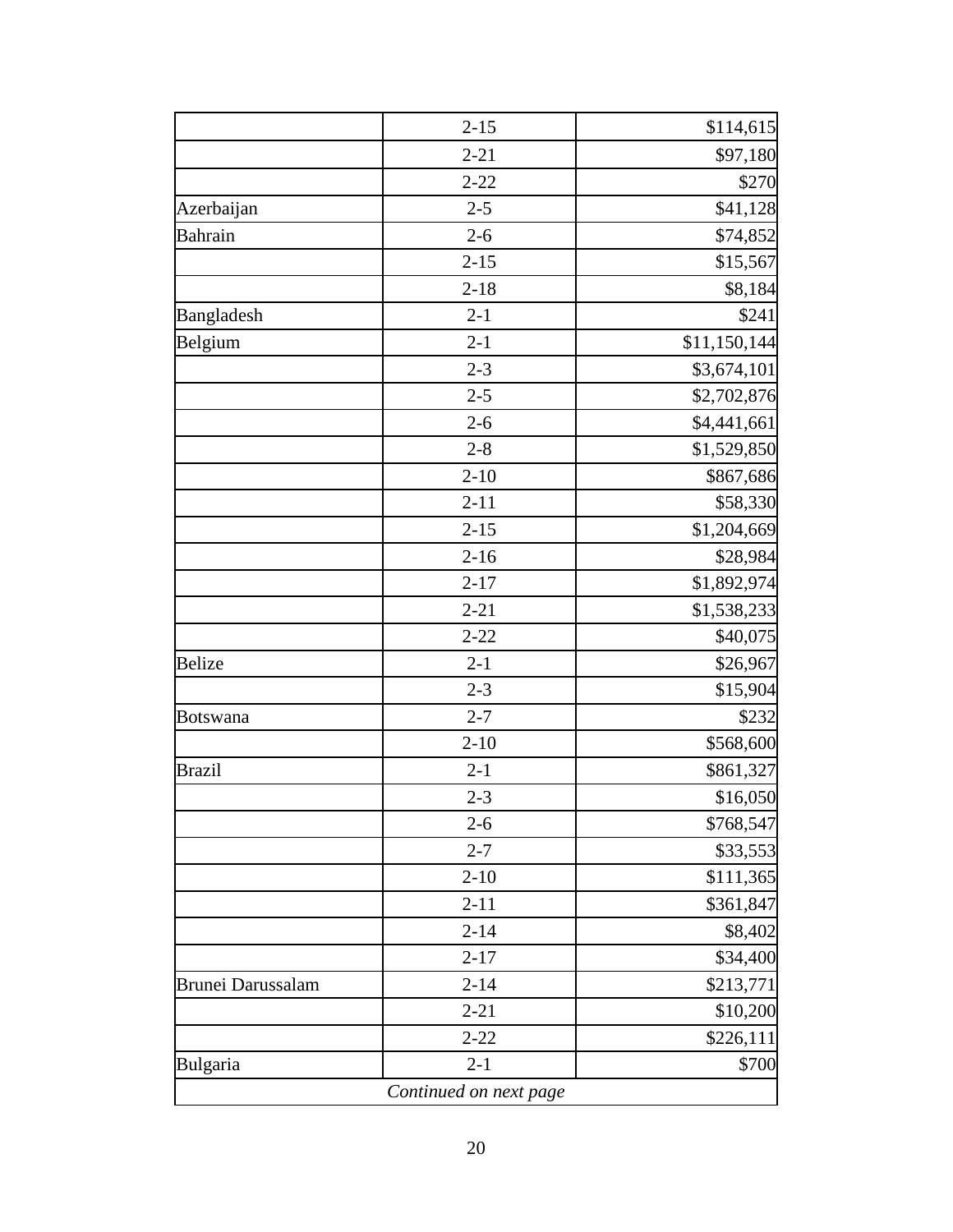|                          | $2 - 15$ | \$114,615    |
|--------------------------|----------|--------------|
|                          | $2 - 21$ | \$97,180     |
|                          | $2 - 22$ | \$270        |
| Azerbaijan               | $2 - 5$  | \$41,128     |
| Bahrain                  | $2 - 6$  | \$74,852     |
|                          | $2 - 15$ | \$15,567     |
|                          | $2 - 18$ | \$8,184      |
| Bangladesh               | $2 - 1$  | \$241        |
| Belgium                  | $2 - 1$  | \$11,150,144 |
|                          | $2 - 3$  | \$3,674,101  |
|                          | $2 - 5$  | \$2,702,876  |
|                          | $2 - 6$  | \$4,441,661  |
|                          | $2 - 8$  | \$1,529,850  |
|                          | $2 - 10$ | \$867,686    |
|                          | $2 - 11$ | \$58,330     |
|                          | $2 - 15$ | \$1,204,669  |
|                          | $2 - 16$ | \$28,984     |
|                          | $2 - 17$ | \$1,892,974  |
|                          | $2 - 21$ | \$1,538,233  |
|                          | $2 - 22$ | \$40,075     |
| <b>Belize</b>            | $2 - 1$  | \$26,967     |
|                          | $2 - 3$  | \$15,904     |
| Botswana                 | $2 - 7$  | \$232        |
|                          | $2 - 10$ | \$568,600    |
| <b>Brazil</b>            | $2 - 1$  | \$861,327    |
|                          | $2 - 3$  | \$16,050     |
|                          | $2 - 6$  | \$768,547    |
|                          | $2 - 7$  | \$33,553     |
|                          | $2 - 10$ | \$111,365    |
|                          | $2 - 11$ | \$361,847    |
|                          | $2 - 14$ | \$8,402      |
|                          | $2 - 17$ | \$34,400     |
| <b>Brunei Darussalam</b> | $2 - 14$ | \$213,771    |
|                          | $2 - 21$ | \$10,200     |
|                          | $2 - 22$ | \$226,111    |
| Bulgaria                 | $2 - 1$  | \$700        |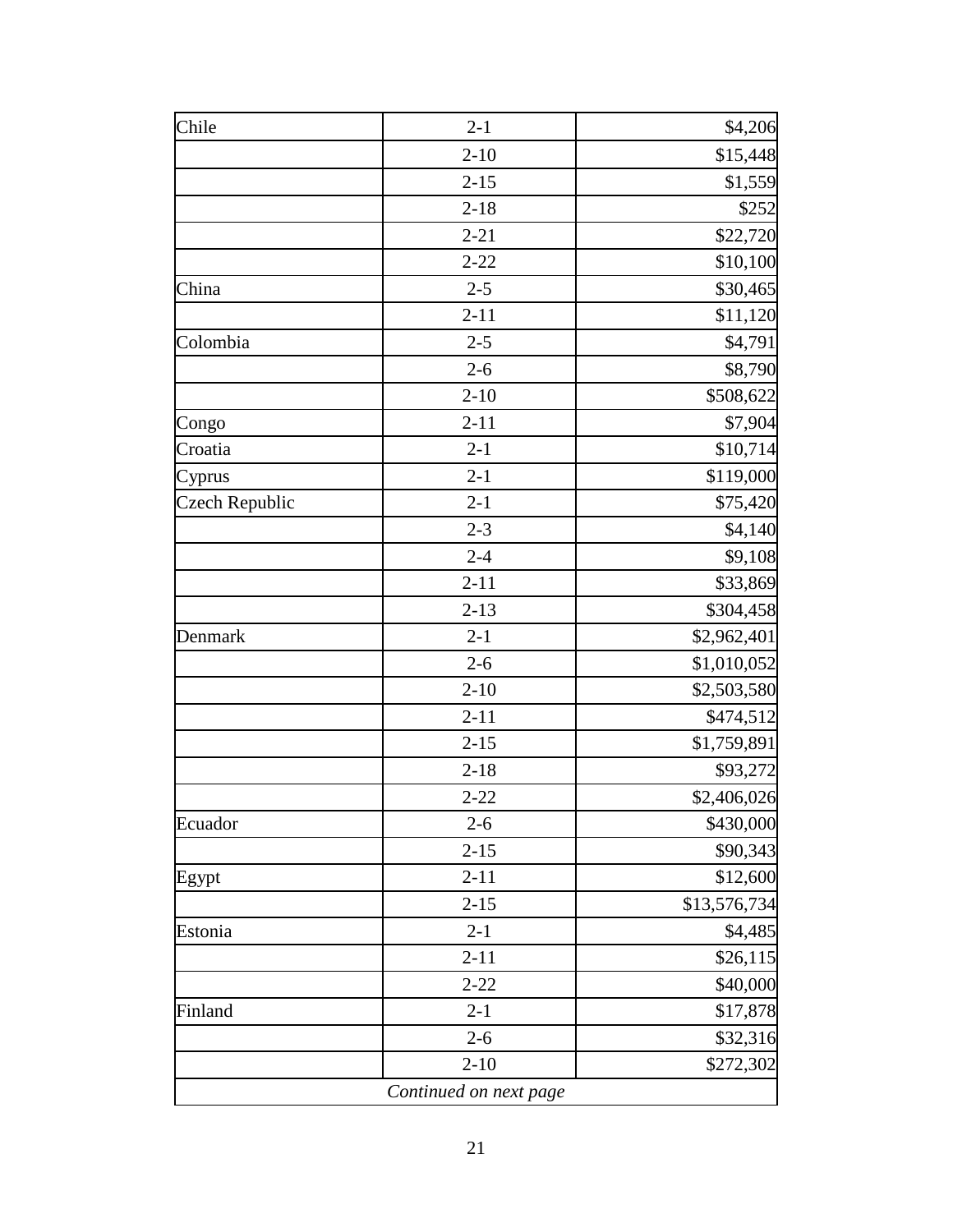| Chile                 | $2 - 1$                | \$4,206      |
|-----------------------|------------------------|--------------|
|                       | $2 - 10$               | \$15,448     |
|                       | $2 - 15$               | \$1,559      |
|                       | $2 - 18$               | \$252        |
|                       | $2 - 21$               | \$22,720     |
|                       | $2 - 22$               | \$10,100     |
| China                 | $2 - 5$                | \$30,465     |
|                       | $2 - 11$               | \$11,120     |
| Colombia              | $2 - 5$                | \$4,791      |
|                       | $2 - 6$                | \$8,790      |
|                       | $2 - 10$               | \$508,622    |
| Congo                 | $2 - 11$               | \$7,904      |
| Croatia               | $2 - 1$                | \$10,714     |
| Cyprus                | $2 - 1$                | \$119,000    |
| <b>Czech Republic</b> | $2-1$                  | \$75,420     |
|                       | $2 - 3$                | \$4,140      |
|                       | $2 - 4$                | \$9,108      |
|                       | $2 - 11$               | \$33,869     |
|                       | $2 - 13$               | \$304,458    |
| Denmark               | $2 - 1$                | \$2,962,401  |
|                       | $2 - 6$                | \$1,010,052  |
|                       | $2 - 10$               | \$2,503,580  |
|                       | $2 - 11$               | \$474,512    |
|                       | $2 - 15$               | \$1,759,891  |
|                       | $2 - 18$               | \$93,272     |
|                       | $2 - 22$               | \$2,406,026  |
| Ecuador               | $2 - 6$                | \$430,000    |
|                       | $2 - 15$               | \$90,343     |
| Egypt                 | $2 - 11$               | \$12,600     |
|                       | $2 - 15$               | \$13,576,734 |
| Estonia               | $2 - 1$                | \$4,485      |
|                       | $2 - 11$               | \$26,115     |
|                       | $2 - 22$               | \$40,000     |
| Finland               | $2 - 1$                | \$17,878     |
|                       | $2 - 6$                | \$32,316     |
|                       | $2 - 10$               | \$272,302    |
|                       | Continued on next page |              |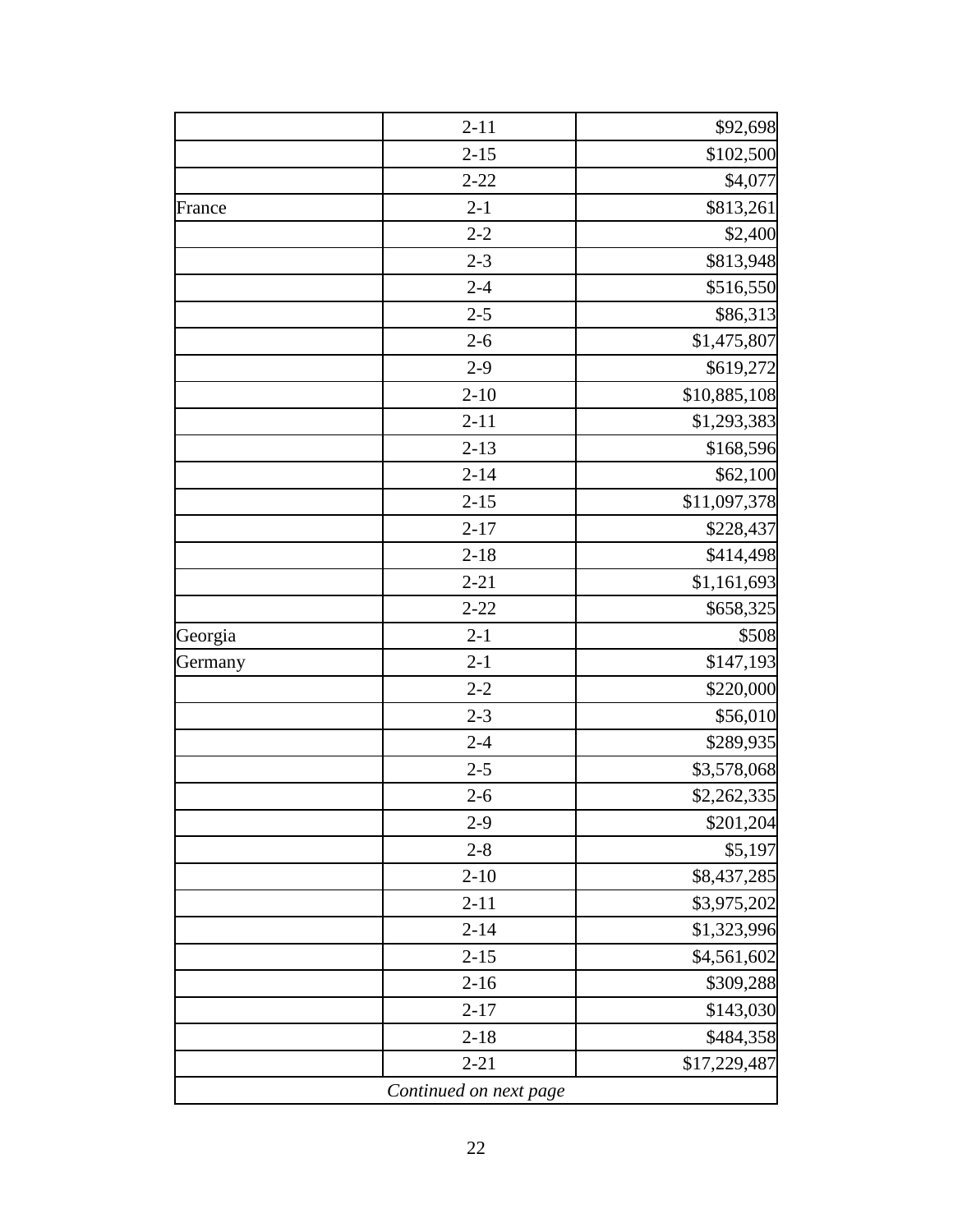|         | $2 - 11$               | \$92,698     |
|---------|------------------------|--------------|
|         | $2 - 15$               | \$102,500    |
|         | $2 - 22$               | \$4,077      |
| France  | $2 - 1$                | \$813,261    |
|         | $2 - 2$                | \$2,400      |
|         | $2 - 3$                | \$813,948    |
|         | $2 - 4$                | \$516,550    |
|         | $2 - 5$                | \$86,313     |
|         | $2 - 6$                | \$1,475,807  |
|         | $2-9$                  | \$619,272    |
|         | $2 - 10$               | \$10,885,108 |
|         | $2 - 11$               | \$1,293,383  |
|         | $2 - 13$               | \$168,596    |
|         | $2 - 14$               | \$62,100     |
|         | $2 - 15$               | \$11,097,378 |
|         | $2 - 17$               | \$228,437    |
|         | $2 - 18$               | \$414,498    |
|         | $2 - 21$               | \$1,161,693  |
|         | $2 - 22$               | \$658,325    |
| Georgia | $2 - 1$                | \$508        |
| Germany | $2 - 1$                | \$147,193    |
|         | $2 - 2$                | \$220,000    |
|         | $2 - 3$                | \$56,010     |
|         | $2 - 4$                | \$289,935    |
|         | $2 - 5$                | \$3,578,068  |
|         | $2 - 6$                | \$2,262,335  |
|         | $2-9$                  | \$201,204    |
|         | $2 - 8$                | \$5,197      |
|         | $2 - 10$               | \$8,437,285  |
|         | $2 - 11$               | \$3,975,202  |
|         | $2 - 14$               | \$1,323,996  |
|         | $2 - 15$               | \$4,561,602  |
|         | $2 - 16$               | \$309,288    |
|         | $2 - 17$               | \$143,030    |
|         | $2 - 18$               | \$484,358    |
|         | $2 - 21$               | \$17,229,487 |
|         | Continued on next page |              |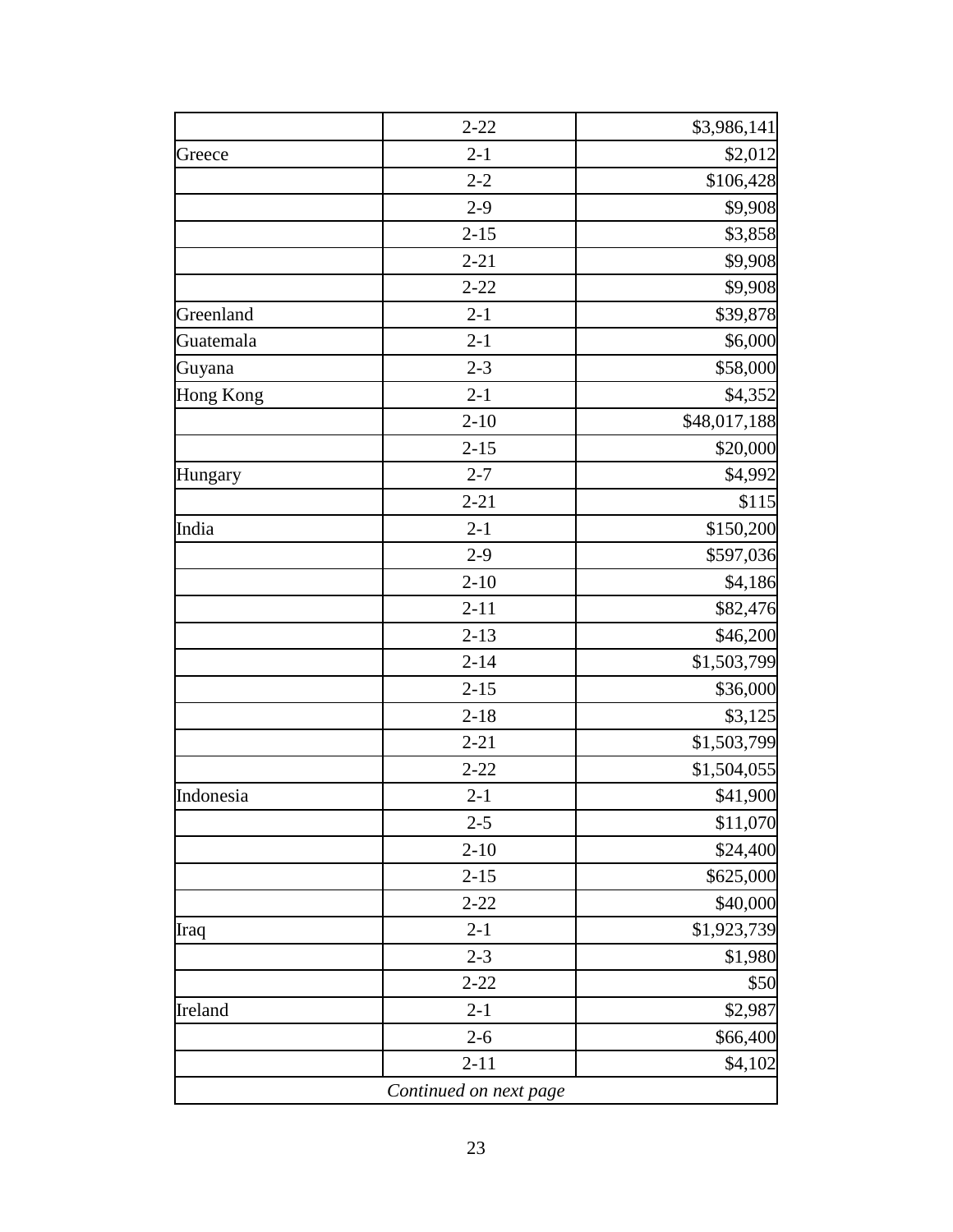| $2 - 22$               | \$3,986,141  |
|------------------------|--------------|
| $2 - 1$                | \$2,012      |
| $2 - 2$                | \$106,428    |
| $2-9$                  | \$9,908      |
| $2 - 15$               | \$3,858      |
| $2 - 21$               | \$9,908      |
| $2 - 22$               | \$9,908      |
| $2 - 1$                | \$39,878     |
| $2 - 1$                | \$6,000      |
| $2 - 3$                | \$58,000     |
| $2 - 1$                | \$4,352      |
| $2 - 10$               | \$48,017,188 |
| $2 - 15$               | \$20,000     |
| $2 - 7$                | \$4,992      |
| $2 - 21$               | \$115        |
| $2 - 1$                | \$150,200    |
| $2 - 9$                | \$597,036    |
| $2 - 10$               | \$4,186      |
| $2 - 11$               | \$82,476     |
| $2 - 13$               | \$46,200     |
| $2 - 14$               | \$1,503,799  |
| $2 - 15$               | \$36,000     |
| $2 - 18$               | \$3,125      |
| $2 - 21$               | \$1,503,799  |
| $2 - 22$               | \$1,504,055  |
| $2 - 1$                | \$41,900     |
| $2 - 5$                | \$11,070     |
| $2 - 10$               | \$24,400     |
| $2 - 15$               | \$625,000    |
| $2 - 22$               | \$40,000     |
| $2 - 1$                | \$1,923,739  |
| $2 - 3$                | \$1,980      |
| $2 - 22$               | \$50         |
| $2 - 1$                | \$2,987      |
| $2 - 6$                | \$66,400     |
| $2 - 11$               | \$4,102      |
| Continued on next page |              |
|                        |              |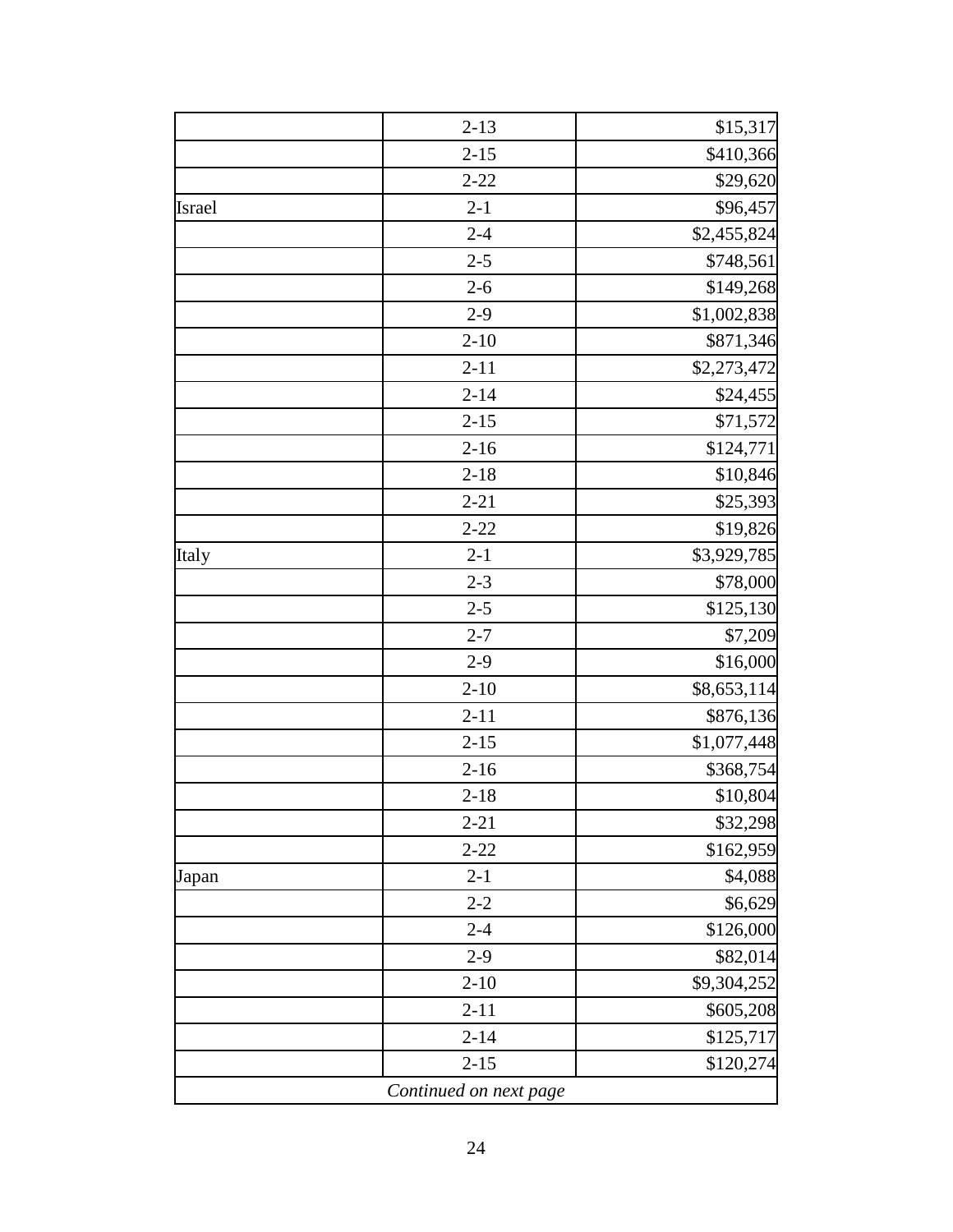|        | $2 - 13$               | \$15,317    |
|--------|------------------------|-------------|
|        | $2 - 15$               | \$410,366   |
|        | $2 - 22$               | \$29,620    |
| Israel | $2 - 1$                | \$96,457    |
|        | $2 - 4$                | \$2,455,824 |
|        | $2 - 5$                | \$748,561   |
|        | $2 - 6$                | \$149,268   |
|        | $2-9$                  | \$1,002,838 |
|        | $2 - 10$               | \$871,346   |
|        | $2 - 11$               | \$2,273,472 |
|        | $2 - 14$               | \$24,455    |
|        | $2 - 15$               | \$71,572    |
|        | $2 - 16$               | \$124,771   |
|        | $2 - 18$               | \$10,846    |
|        | $2 - 21$               | \$25,393    |
|        | $2 - 22$               | \$19,826    |
| Italy  | $2 - 1$                | \$3,929,785 |
|        | $2 - 3$                | \$78,000    |
|        | $2 - 5$                | \$125,130   |
|        | $2 - 7$                | \$7,209     |
|        | $2-9$                  | \$16,000    |
|        | $2 - 10$               | \$8,653,114 |
|        | $2 - 11$               | \$876,136   |
|        | $2 - 15$               | \$1,077,448 |
|        | $2 - 16$               | \$368,754   |
|        | $2 - 18$               | \$10,804    |
|        | $2 - 21$               | \$32,298    |
|        | $2 - 22$               | \$162,959   |
| Japan  | $2 - 1$                | \$4,088     |
|        | $2 - 2$                | \$6,629     |
|        | $2 - 4$                | \$126,000   |
|        | $2-9$                  | \$82,014    |
|        | $2 - 10$               | \$9,304,252 |
|        | $2 - 11$               | \$605,208   |
|        | $2 - 14$               | \$125,717   |
|        | $2 - 15$               | \$120,274   |
|        | Continued on next page |             |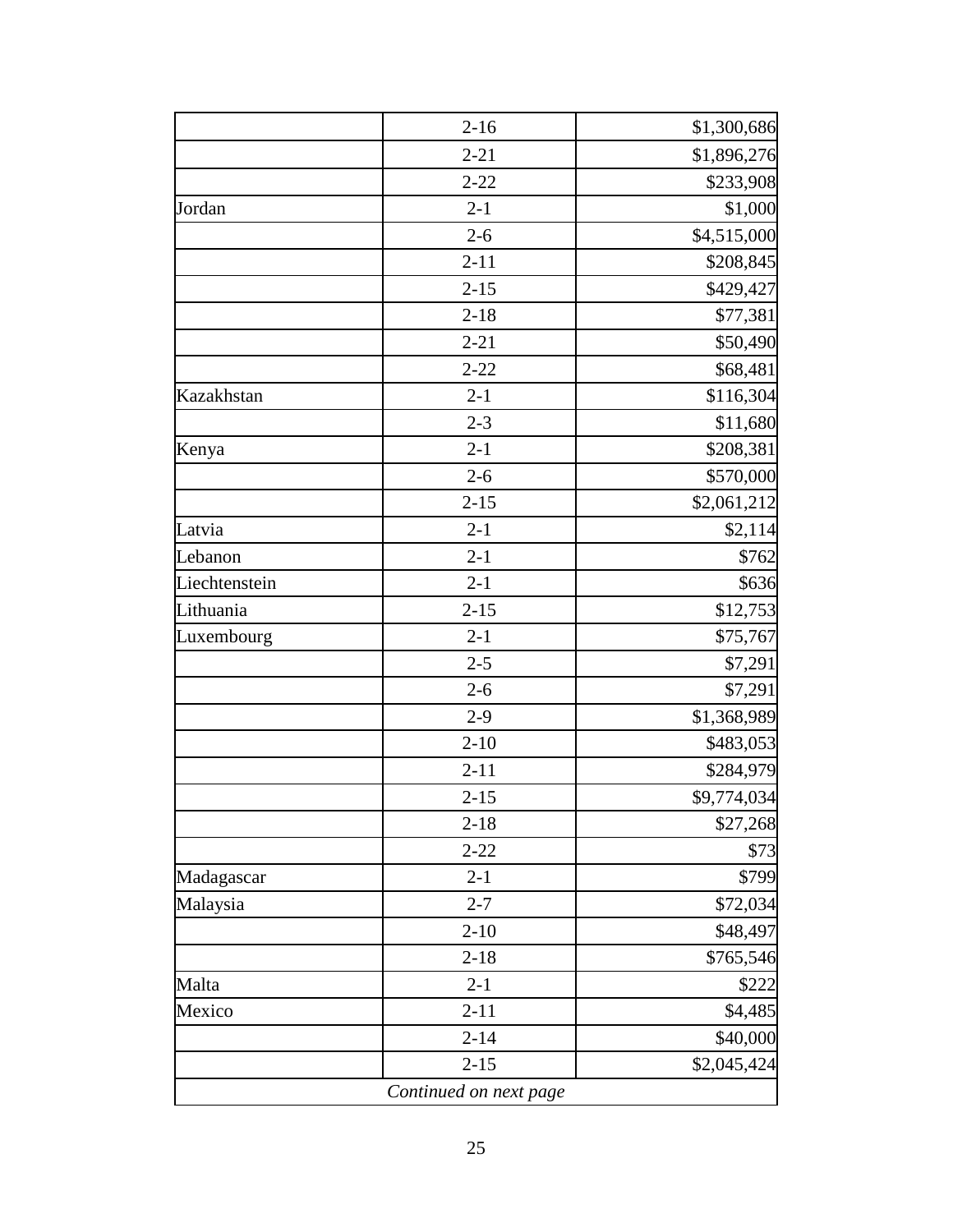|               | $2 - 16$               | \$1,300,686 |
|---------------|------------------------|-------------|
|               | $2 - 21$               | \$1,896,276 |
|               | $2 - 22$               | \$233,908   |
| Jordan        | $2 - 1$                | \$1,000     |
|               | $2 - 6$                | \$4,515,000 |
|               | $2 - 11$               | \$208,845   |
|               | $2 - 15$               | \$429,427   |
|               | $2 - 18$               | \$77,381    |
|               | $2 - 21$               | \$50,490    |
|               | $2 - 22$               | \$68,481    |
| Kazakhstan    | $2 - 1$                | \$116,304   |
|               | $2 - 3$                | \$11,680    |
| Kenya         | $2 - 1$                | \$208,381   |
|               | $2 - 6$                | \$570,000   |
|               | $2 - 15$               | \$2,061,212 |
| Latvia        | $2 - 1$                | \$2,114     |
| Lebanon       | $2 - 1$                | \$762       |
| Liechtenstein | $2 - 1$                | \$636       |
| Lithuania     | $2 - 15$               | \$12,753    |
| Luxembourg    | $2 - 1$                | \$75,767    |
|               | $2 - 5$                | \$7,291     |
|               | $2 - 6$                | \$7,291     |
|               | $2-9$                  | \$1,368,989 |
|               | $2 - 10$               | \$483,053   |
|               | $2 - 11$               | \$284,979   |
|               | $2 - 15$               | \$9,774,034 |
|               | $2 - 18$               | \$27,268    |
|               | $2 - 22$               | \$73        |
| Madagascar    | $2 - 1$                | \$799       |
| Malaysia      | $2 - 7$                | \$72,034    |
|               | $2 - 10$               | \$48,497    |
|               | $2 - 18$               | \$765,546   |
| Malta         | $2 - 1$                | \$222       |
| Mexico        | $2 - 11$               | \$4,485     |
|               | $2 - 14$               | \$40,000    |
|               | $2 - 15$               | \$2,045,424 |
|               | Continued on next page |             |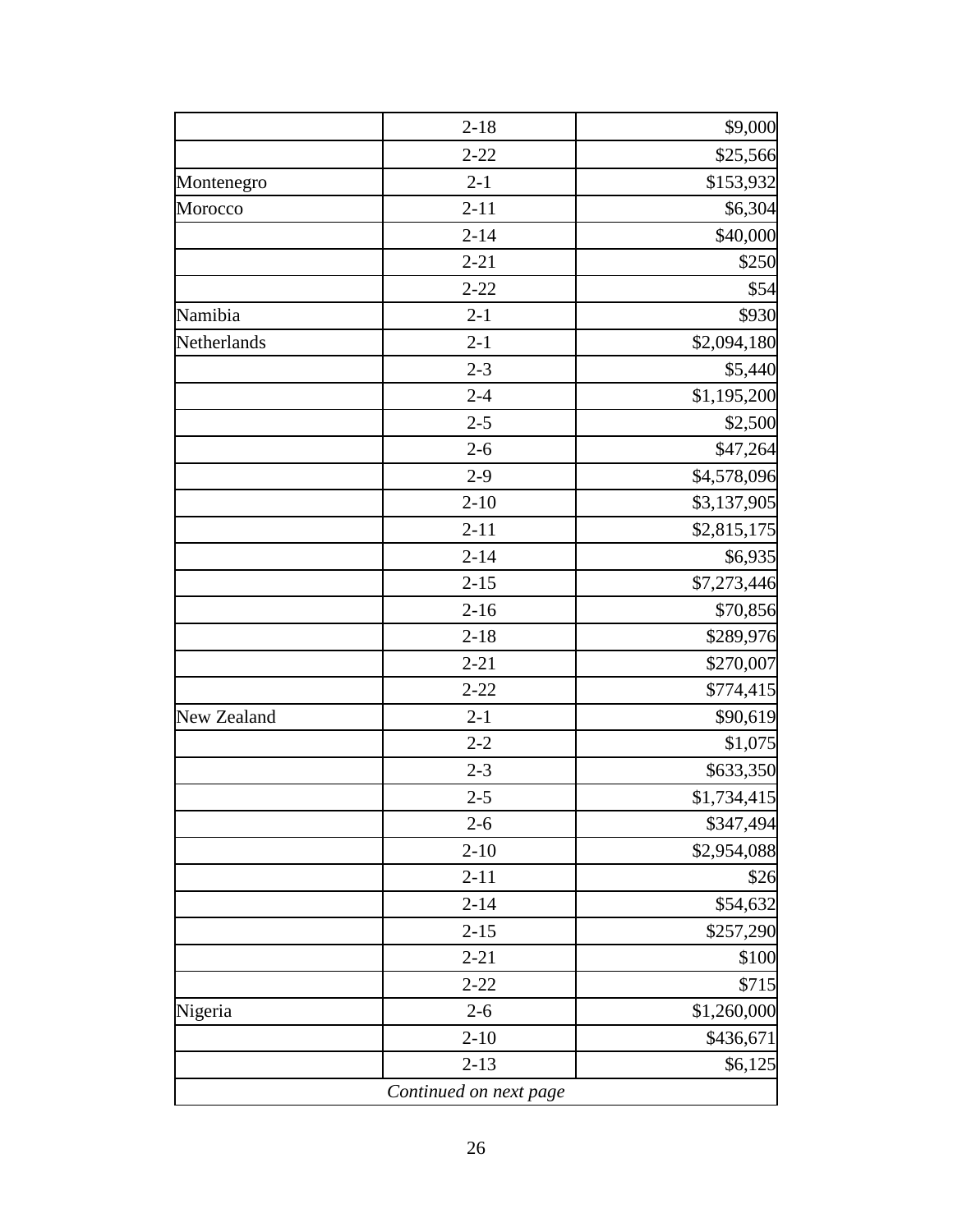| $2 - 18$ | \$9,000     |
|----------|-------------|
| $2 - 22$ | \$25,566    |
| $2 - 1$  | \$153,932   |
| $2 - 11$ | \$6,304     |
| $2 - 14$ | \$40,000    |
| $2 - 21$ | \$250       |
| $2 - 22$ | \$54        |
| $2 - 1$  | \$930       |
| $2 - 1$  | \$2,094,180 |
| $2 - 3$  | \$5,440     |
| $2 - 4$  | \$1,195,200 |
| $2 - 5$  | \$2,500     |
| $2 - 6$  | \$47,264    |
| $2 - 9$  | \$4,578,096 |
| $2 - 10$ | \$3,137,905 |
| $2 - 11$ | \$2,815,175 |
| $2 - 14$ | \$6,935     |
| $2 - 15$ | \$7,273,446 |
| $2 - 16$ | \$70,856    |
| $2 - 18$ | \$289,976   |
| $2 - 21$ | \$270,007   |
| $2 - 22$ | \$774,415   |
| $2 - 1$  | \$90,619    |
| $2 - 2$  | \$1,075     |
| $2 - 3$  | \$633,350   |
| $2 - 5$  | \$1,734,415 |
| $2 - 6$  | \$347,494   |
| $2 - 10$ | \$2,954,088 |
| $2 - 11$ | \$26        |
| $2 - 14$ | \$54,632    |
| $2 - 15$ | \$257,290   |
| $2 - 21$ | \$100       |
| $2 - 22$ | \$715       |
| $2 - 6$  | \$1,260,000 |
| $2 - 10$ | \$436,671   |
|          |             |
|          |             |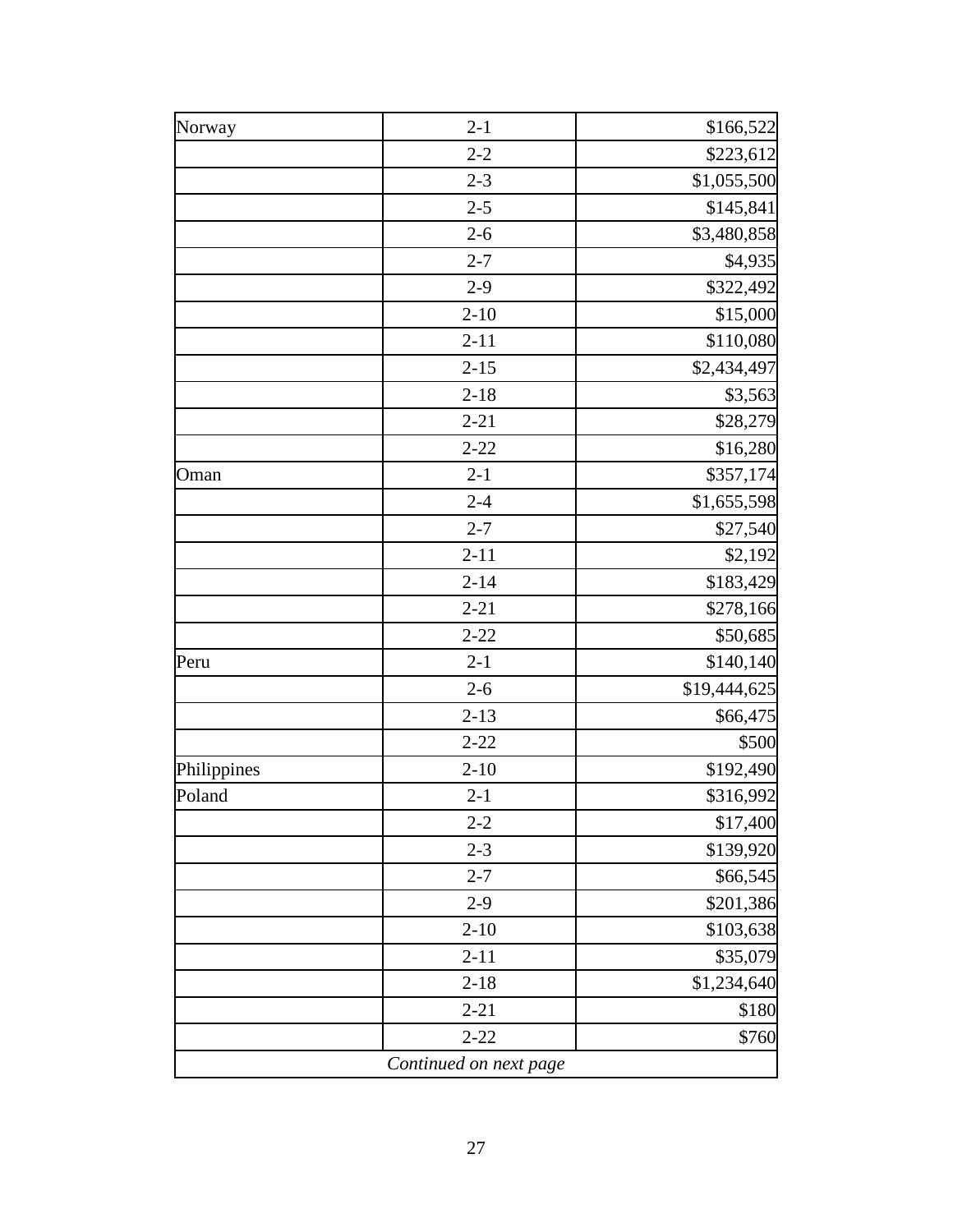| $2 - 2$<br>$2 - 3$<br>$2 - 5$<br>$2 - 6$<br>$2 - 7$<br>$2-9$<br>$2 - 10$<br>$2 - 11$<br>$2 - 15$<br>$2 - 18$<br>$2 - 21$<br>$2 - 22$<br>$2 - 1$<br>$2 - 4$ | \$223,612                                                                                                                                |
|------------------------------------------------------------------------------------------------------------------------------------------------------------|------------------------------------------------------------------------------------------------------------------------------------------|
|                                                                                                                                                            | \$1,055,500                                                                                                                              |
|                                                                                                                                                            | \$145,841<br>\$3,480,858<br>\$4,935<br>\$322,492<br>\$15,000<br>\$110,080<br>\$2,434,497<br>\$3,563<br>\$28,279<br>\$16,280<br>\$357,174 |
|                                                                                                                                                            |                                                                                                                                          |
|                                                                                                                                                            |                                                                                                                                          |
|                                                                                                                                                            |                                                                                                                                          |
|                                                                                                                                                            |                                                                                                                                          |
|                                                                                                                                                            |                                                                                                                                          |
|                                                                                                                                                            |                                                                                                                                          |
|                                                                                                                                                            |                                                                                                                                          |
|                                                                                                                                                            |                                                                                                                                          |
|                                                                                                                                                            |                                                                                                                                          |
|                                                                                                                                                            |                                                                                                                                          |
|                                                                                                                                                            |                                                                                                                                          |
|                                                                                                                                                            | \$1,655,598                                                                                                                              |
| $2 - 7$                                                                                                                                                    | \$27,540                                                                                                                                 |
| $2 - 11$                                                                                                                                                   | \$2,192                                                                                                                                  |
| $2 - 14$                                                                                                                                                   | \$183,429                                                                                                                                |
| $2 - 21$                                                                                                                                                   | \$278,166                                                                                                                                |
| $2 - 22$                                                                                                                                                   | \$50,685                                                                                                                                 |
| $2 - 1$                                                                                                                                                    | \$140,140                                                                                                                                |
| $2 - 6$                                                                                                                                                    | \$19,444,625                                                                                                                             |
| $2 - 13$                                                                                                                                                   | \$66,475                                                                                                                                 |
| $2 - 22$                                                                                                                                                   | \$500                                                                                                                                    |
| $2 - 10$                                                                                                                                                   | \$192,490                                                                                                                                |
| $2 - 1$                                                                                                                                                    | \$316,992                                                                                                                                |
| $2 - 2$                                                                                                                                                    | \$17,400                                                                                                                                 |
| $2 - 3$                                                                                                                                                    | \$139,920                                                                                                                                |
| $2 - 7$                                                                                                                                                    | \$66,545                                                                                                                                 |
| $2-9$                                                                                                                                                      | \$201,386                                                                                                                                |
| $2 - 10$                                                                                                                                                   | \$103,638                                                                                                                                |
| $2 - 11$                                                                                                                                                   | \$35,079                                                                                                                                 |
| $2 - 18$                                                                                                                                                   | \$1,234,640                                                                                                                              |
| $2 - 21$                                                                                                                                                   | \$180                                                                                                                                    |
| $2 - 22$                                                                                                                                                   | \$760                                                                                                                                    |
|                                                                                                                                                            | Continued on next page                                                                                                                   |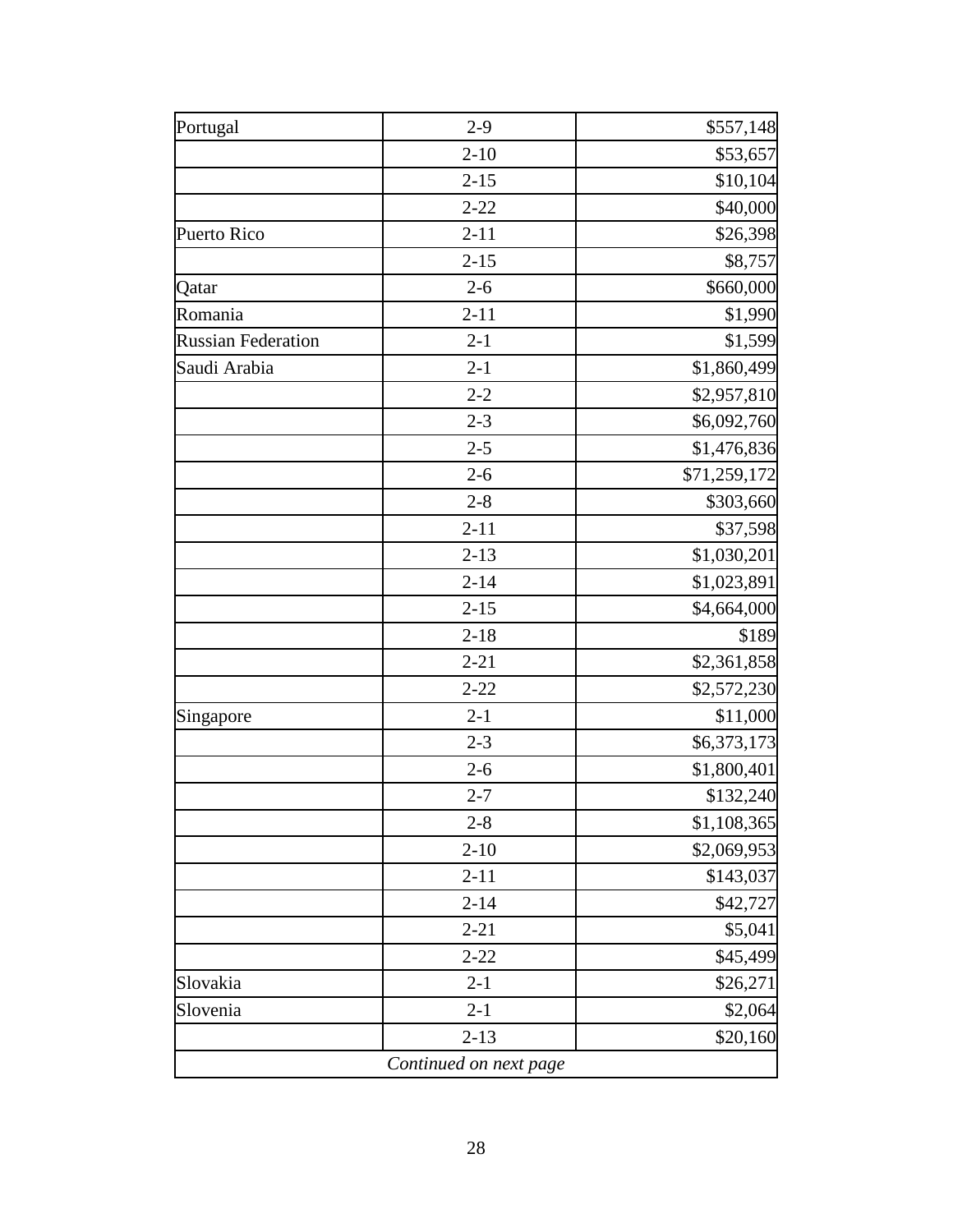| Portugal                  | $2 - 9$  | \$557,148    |
|---------------------------|----------|--------------|
|                           | $2 - 10$ | \$53,657     |
|                           | $2 - 15$ | \$10,104     |
|                           | $2 - 22$ | \$40,000     |
| Puerto Rico               | $2 - 11$ | \$26,398     |
|                           | $2 - 15$ | \$8,757      |
| Qatar                     | $2 - 6$  | \$660,000    |
| Romania                   | $2 - 11$ | \$1,990      |
| <b>Russian Federation</b> | $2 - 1$  | \$1,599      |
| Saudi Arabia              | $2 - 1$  | \$1,860,499  |
|                           | $2 - 2$  | \$2,957,810  |
|                           | $2 - 3$  | \$6,092,760  |
|                           | $2 - 5$  | \$1,476,836  |
|                           | $2 - 6$  | \$71,259,172 |
|                           | $2 - 8$  | \$303,660    |
|                           | $2 - 11$ | \$37,598     |
|                           | $2 - 13$ | \$1,030,201  |
|                           | $2 - 14$ | \$1,023,891  |
|                           | $2 - 15$ | \$4,664,000  |
|                           | $2 - 18$ | \$189        |
|                           | $2 - 21$ | \$2,361,858  |
|                           | $2 - 22$ | \$2,572,230  |
| Singapore                 | $2 - 1$  | \$11,000     |
|                           | $2 - 3$  | \$6,373,173  |
|                           | $2 - 6$  | \$1,800,401  |
|                           | $2 - 7$  | \$132,240    |
|                           | $2 - 8$  | \$1,108,365  |
|                           | $2 - 10$ | \$2,069,953  |
|                           | $2 - 11$ | \$143,037    |
|                           | $2 - 14$ | \$42,727     |
|                           | $2 - 21$ | \$5,041      |
|                           | $2 - 22$ | \$45,499     |
| Slovakia                  | $2 - 1$  | \$26,271     |
| Slovenia                  | $2 - 1$  | \$2,064      |
|                           | $2 - 13$ | \$20,160     |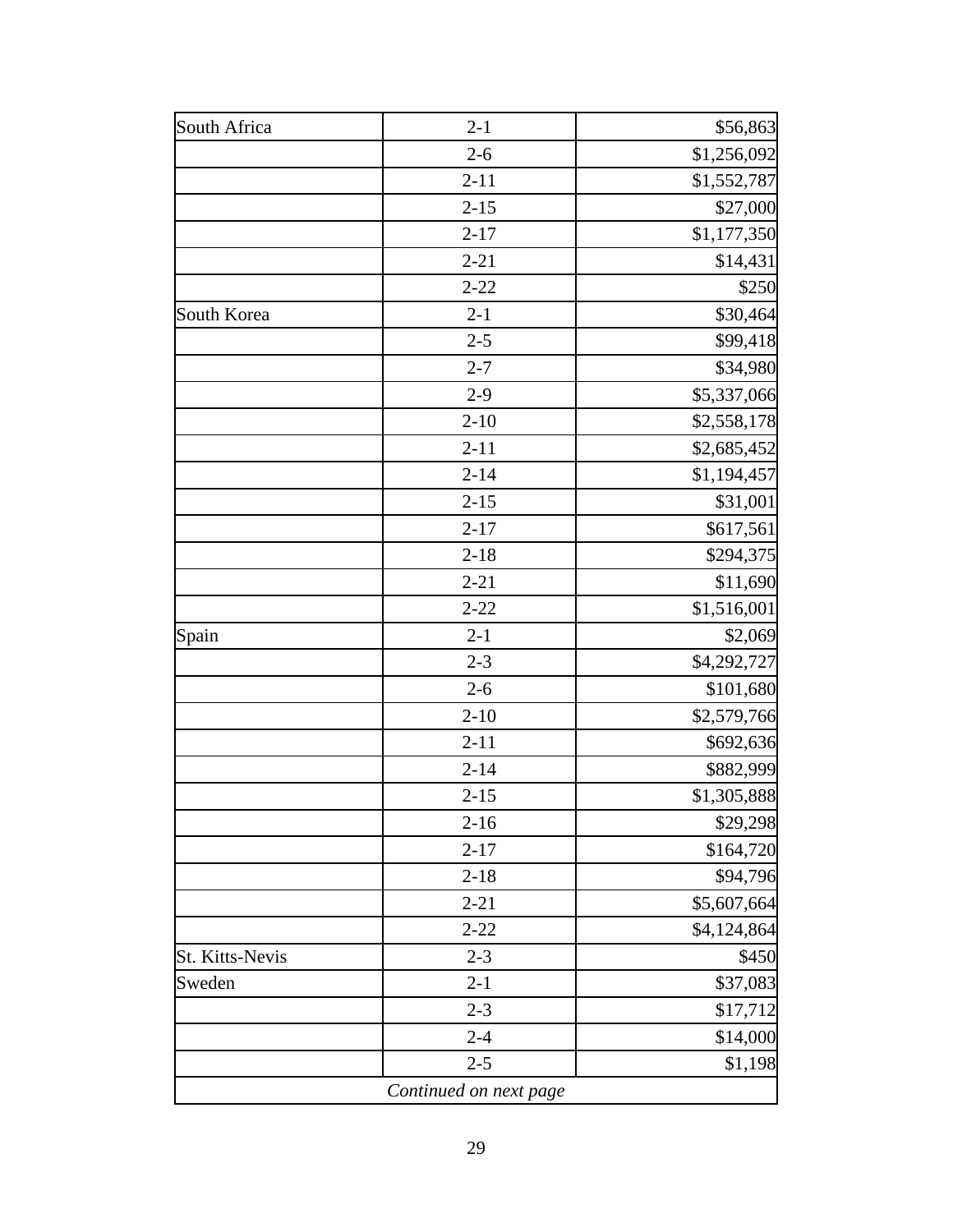| $2 - 1$  | \$56,863    |
|----------|-------------|
| $2 - 6$  | \$1,256,092 |
| $2 - 11$ | \$1,552,787 |
| $2 - 15$ | \$27,000    |
| $2 - 17$ | \$1,177,350 |
| $2 - 21$ | \$14,431    |
| $2 - 22$ | \$250       |
| $2 - 1$  | \$30,464    |
| $2 - 5$  | \$99,418    |
| $2 - 7$  | \$34,980    |
| $2-9$    | \$5,337,066 |
| $2 - 10$ | \$2,558,178 |
| $2 - 11$ | \$2,685,452 |
| $2 - 14$ | \$1,194,457 |
| $2 - 15$ | \$31,001    |
| $2 - 17$ | \$617,561   |
| $2 - 18$ | \$294,375   |
| $2 - 21$ | \$11,690    |
| $2 - 22$ | \$1,516,001 |
| $2 - 1$  | \$2,069     |
| $2 - 3$  | \$4,292,727 |
| $2 - 6$  | \$101,680   |
| $2 - 10$ | \$2,579,766 |
| $2 - 11$ | \$692,636   |
| $2 - 14$ | \$882,999   |
| $2 - 15$ | \$1,305,888 |
| $2 - 16$ | \$29,298    |
| $2 - 17$ | \$164,720   |
| $2 - 18$ | \$94,796    |
| $2 - 21$ | \$5,607,664 |
| $2 - 22$ | \$4,124,864 |
| $2 - 3$  | \$450       |
| $2 - 1$  | \$37,083    |
| $2 - 3$  | \$17,712    |
| $2 - 4$  | \$14,000    |
|          |             |
|          |             |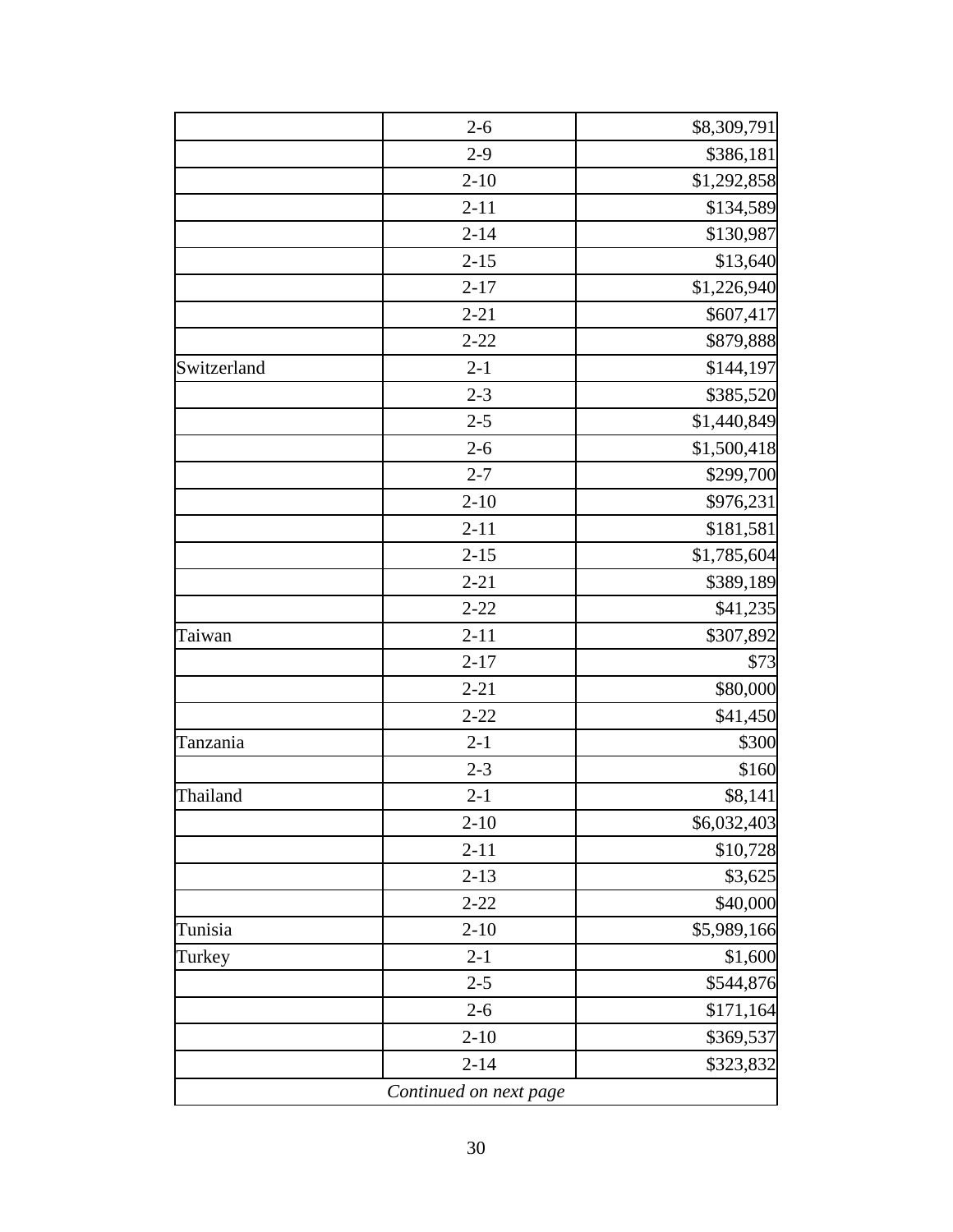|             | $2 - 6$                | \$8,309,791 |
|-------------|------------------------|-------------|
|             | $2-9$                  | \$386,181   |
|             | $2 - 10$               | \$1,292,858 |
|             | $2 - 11$               | \$134,589   |
|             | $2 - 14$               | \$130,987   |
|             | $2 - 15$               | \$13,640    |
|             | $2 - 17$               | \$1,226,940 |
|             | $2 - 21$               | \$607,417   |
|             | $2 - 22$               | \$879,888   |
| Switzerland | $2 - 1$                | \$144,197   |
|             | $2 - 3$                | \$385,520   |
|             | $2 - 5$                | \$1,440,849 |
|             | $2 - 6$                | \$1,500,418 |
|             | $2 - 7$                | \$299,700   |
|             | $2 - 10$               | \$976,231   |
|             | $2 - 11$               | \$181,581   |
|             | $2 - 15$               | \$1,785,604 |
|             | $2 - 21$               | \$389,189   |
|             | $2 - 22$               | \$41,235    |
| Taiwan      | $2 - 11$               | \$307,892   |
|             | $2 - 17$               | \$73        |
|             | $2 - 21$               | \$80,000    |
|             | $2 - 22$               | \$41,450    |
| Tanzania    | $2 - 1$                | \$300       |
|             | $2 - 3$                | \$160       |
| Thailand    | $2 - 1$                | \$8,141     |
|             | $2 - 10$               | \$6,032,403 |
|             | $2 - 11$               | \$10,728    |
|             | $2 - 13$               | \$3,625     |
|             | $2 - 22$               | \$40,000    |
| Tunisia     | $2 - 10$               | \$5,989,166 |
| Turkey      | $2 - 1$                | \$1,600     |
|             | $2 - 5$                | \$544,876   |
|             | $2 - 6$                | \$171,164   |
|             | $2 - 10$               | \$369,537   |
|             | $2 - 14$               | \$323,832   |
|             | Continued on next page |             |
|             |                        |             |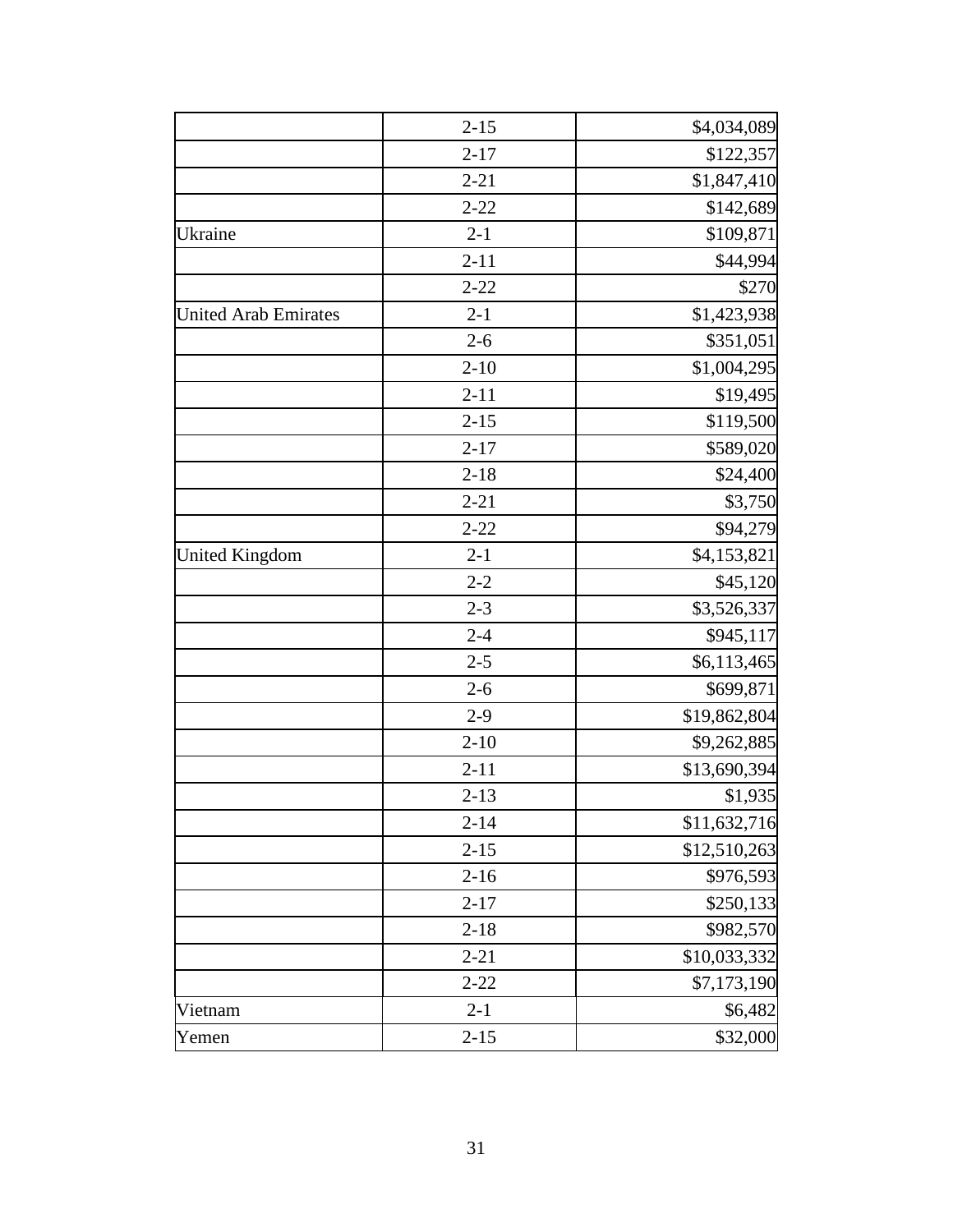|                             | $2 - 15$ | \$4,034,089  |
|-----------------------------|----------|--------------|
|                             | $2 - 17$ | \$122,357    |
|                             | $2 - 21$ | \$1,847,410  |
|                             | $2 - 22$ | \$142,689    |
| Ukraine                     | $2 - 1$  | \$109,871    |
|                             | $2 - 11$ | \$44,994     |
|                             | $2 - 22$ | \$270        |
| <b>United Arab Emirates</b> | $2 - 1$  | \$1,423,938  |
|                             | $2 - 6$  | \$351,051    |
|                             | $2 - 10$ | \$1,004,295  |
|                             | $2 - 11$ | \$19,495     |
|                             | $2 - 15$ | \$119,500    |
|                             | $2 - 17$ | \$589,020    |
|                             | $2 - 18$ | \$24,400     |
|                             | $2 - 21$ | \$3,750      |
|                             | $2 - 22$ | \$94,279     |
| <b>United Kingdom</b>       | $2 - 1$  | \$4,153,821  |
|                             | $2 - 2$  | \$45,120     |
|                             | $2 - 3$  | \$3,526,337  |
|                             | $2 - 4$  | \$945,117    |
|                             | $2 - 5$  | \$6,113,465  |
|                             | $2 - 6$  | \$699,871    |
|                             | $2-9$    | \$19,862,804 |
|                             | $2 - 10$ | \$9,262,885  |
|                             | $2 - 11$ | \$13,690,394 |
|                             | $2 - 13$ | \$1,935      |
|                             | $2 - 14$ | \$11,632,716 |
|                             | $2 - 15$ | \$12,510,263 |
|                             | $2 - 16$ | \$976,593    |
|                             | $2 - 17$ | \$250,133    |
|                             | $2 - 18$ | \$982,570    |
|                             | $2 - 21$ | \$10,033,332 |
|                             | $2 - 22$ | \$7,173,190  |
| Vietnam                     | $2 - 1$  | \$6,482      |
| Yemen                       | $2 - 15$ | \$32,000     |